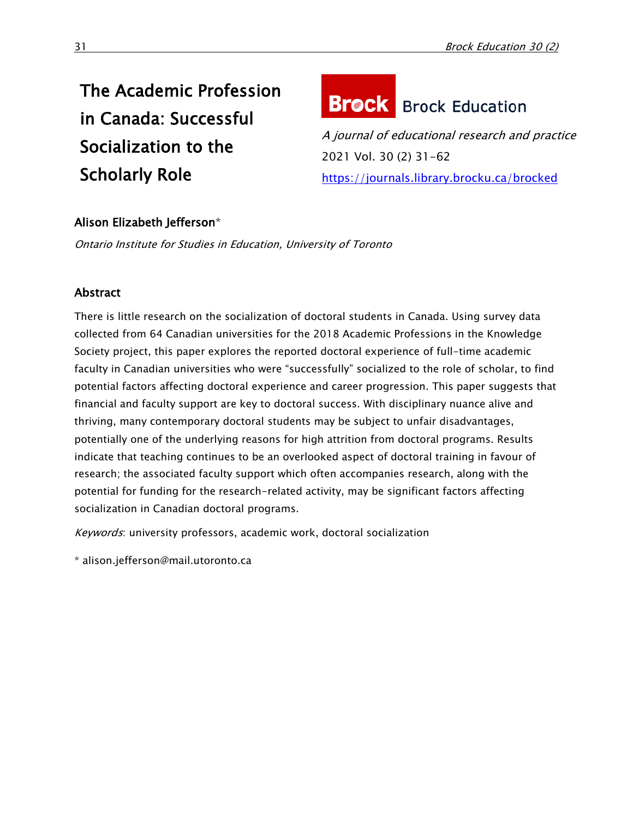## The Academic Profession in Canada: Successful Socialization to the Scholarly Role

# **Brock** Brock Education

A journal of educational research and practice 2021 Vol. 30 (2) 31-62 <https://journals.library.brocku.ca/brocked>

## Alison Elizabeth Jefferson\*

Ontario Institute for Studies in Education, University of Toronto

## **Abstract**

There is little research on the socialization of doctoral students in Canada. Using survey data collected from 64 Canadian universities for the 2018 Academic Professions in the Knowledge Society project, this paper explores the reported doctoral experience of full-time academic faculty in Canadian universities who were "successfully" socialized to the role of scholar, to find potential factors affecting doctoral experience and career progression. This paper suggests that financial and faculty support are key to doctoral success. With disciplinary nuance alive and thriving, many contemporary doctoral students may be subject to unfair disadvantages, potentially one of the underlying reasons for high attrition from doctoral programs. Results indicate that teaching continues to be an overlooked aspect of doctoral training in favour of research; the associated faculty support which often accompanies research, along with the potential for funding for the research-related activity, may be significant factors affecting socialization in Canadian doctoral programs.

Keywords: university professors, academic work, doctoral socialization

\* alison.jefferson@mail.utoronto.ca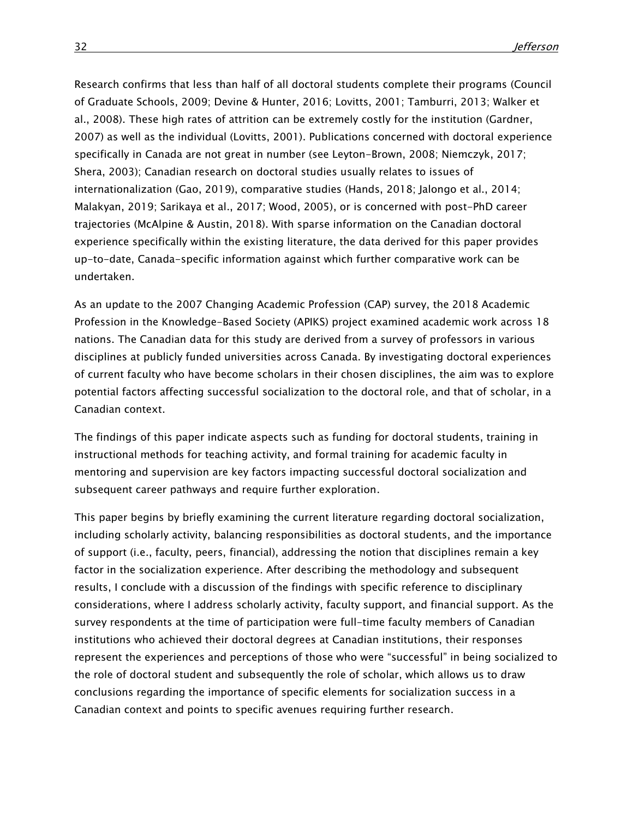Research confirms that less than half of all doctoral students complete their programs (Council of Graduate Schools, 2009; Devine & Hunter, 2016; Lovitts, 2001; Tamburri, 2013; Walker et al., 2008). These high rates of attrition can be extremely costly for the institution (Gardner, 2007) as well as the individual (Lovitts, 2001). Publications concerned with doctoral experience specifically in Canada are not great in number (see Leyton-Brown, 2008; Niemczyk, 2017; Shera, 2003); Canadian research on doctoral studies usually relates to issues of internationalization (Gao, 2019), comparative studies (Hands, 2018; Jalongo et al., 2014; Malakyan, 2019; Sarikaya et al., 2017; Wood, 2005), or is concerned with post-PhD career trajectories (McAlpine & Austin, 2018). With sparse information on the Canadian doctoral experience specifically within the existing literature, the data derived for this paper provides up-to-date, Canada-specific information against which further comparative work can be undertaken.

As an update to the 2007 Changing Academic Profession (CAP) survey, the 2018 Academic Profession in the Knowledge-Based Society (APIKS) project examined academic work across 18 nations. The Canadian data for this study are derived from a survey of professors in various disciplines at publicly funded universities across Canada. By investigating doctoral experiences of current faculty who have become scholars in their chosen disciplines, the aim was to explore potential factors affecting successful socialization to the doctoral role, and that of scholar, in a Canadian context.

The findings of this paper indicate aspects such as funding for doctoral students, training in instructional methods for teaching activity, and formal training for academic faculty in mentoring and supervision are key factors impacting successful doctoral socialization and subsequent career pathways and require further exploration.

This paper begins by briefly examining the current literature regarding doctoral socialization, including scholarly activity, balancing responsibilities as doctoral students, and the importance of support (i.e., faculty, peers, financial), addressing the notion that disciplines remain a key factor in the socialization experience. After describing the methodology and subsequent results, I conclude with a discussion of the findings with specific reference to disciplinary considerations, where I address scholarly activity, faculty support, and financial support. As the survey respondents at the time of participation were full-time faculty members of Canadian institutions who achieved their doctoral degrees at Canadian institutions, their responses represent the experiences and perceptions of those who were "successful" in being socialized to the role of doctoral student and subsequently the role of scholar, which allows us to draw conclusions regarding the importance of specific elements for socialization success in a Canadian context and points to specific avenues requiring further research.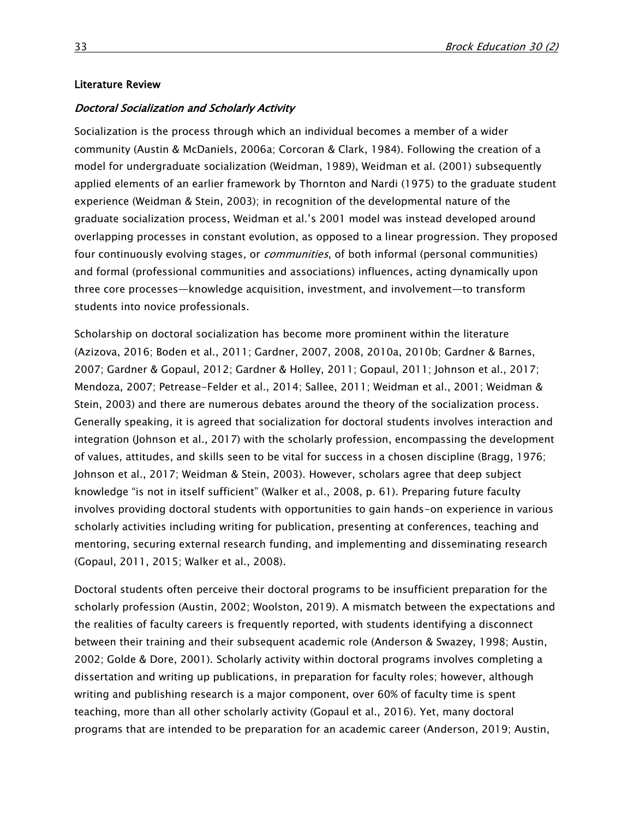#### Literature Review

#### Doctoral Socialization and Scholarly Activity

Socialization is the process through which an individual becomes a member of a wider community (Austin & McDaniels, 2006a; Corcoran & Clark, 1984). Following the creation of a model for undergraduate socialization (Weidman, 1989), Weidman et al. (2001) subsequently applied elements of an earlier framework by Thornton and Nardi (1975) to the graduate student experience (Weidman & Stein, 2003); in recognition of the developmental nature of the graduate socialization process, Weidman et al.'s 2001 model was instead developed around overlapping processes in constant evolution, as opposed to a linear progression. They proposed four continuously evolving stages, or *communities*, of both informal (personal communities) and formal (professional communities and associations) influences, acting dynamically upon three core processes—knowledge acquisition, investment, and involvement—to transform students into novice professionals.

Scholarship on doctoral socialization has become more prominent within the literature (Azizova, 2016; Boden et al., 2011; Gardner, 2007, 2008, 2010a, 2010b; Gardner & Barnes, 2007; Gardner & Gopaul, 2012; Gardner & Holley, 2011; Gopaul, 2011; Johnson et al., 2017; Mendoza, 2007; Petrease-Felder et al., 2014; Sallee, 2011; Weidman et al., 2001; Weidman & Stein, 2003) and there are numerous debates around the theory of the socialization process. Generally speaking, it is agreed that socialization for doctoral students involves interaction and integration (Johnson et al., 2017) with the scholarly profession, encompassing the development of values, attitudes, and skills seen to be vital for success in a chosen discipline (Bragg, 1976; Johnson et al., 2017; Weidman & Stein, 2003). However, scholars agree that deep subject knowledge "is not in itself sufficient" (Walker et al., 2008, p. 61). Preparing future faculty involves providing doctoral students with opportunities to gain hands-on experience in various scholarly activities including writing for publication, presenting at conferences, teaching and mentoring, securing external research funding, and implementing and disseminating research (Gopaul, 2011, 2015; Walker et al., 2008).

Doctoral students often perceive their doctoral programs to be insufficient preparation for the scholarly profession (Austin, 2002; Woolston, 2019). A mismatch between the expectations and the realities of faculty careers is frequently reported, with students identifying a disconnect between their training and their subsequent academic role (Anderson & Swazey, 1998; Austin, 2002; Golde & Dore, 2001). Scholarly activity within doctoral programs involves completing a dissertation and writing up publications, in preparation for faculty roles; however, although writing and publishing research is a major component, over 60% of faculty time is spent teaching, more than all other scholarly activity (Gopaul et al., 2016). Yet, many doctoral programs that are intended to be preparation for an academic career (Anderson, 2019; Austin,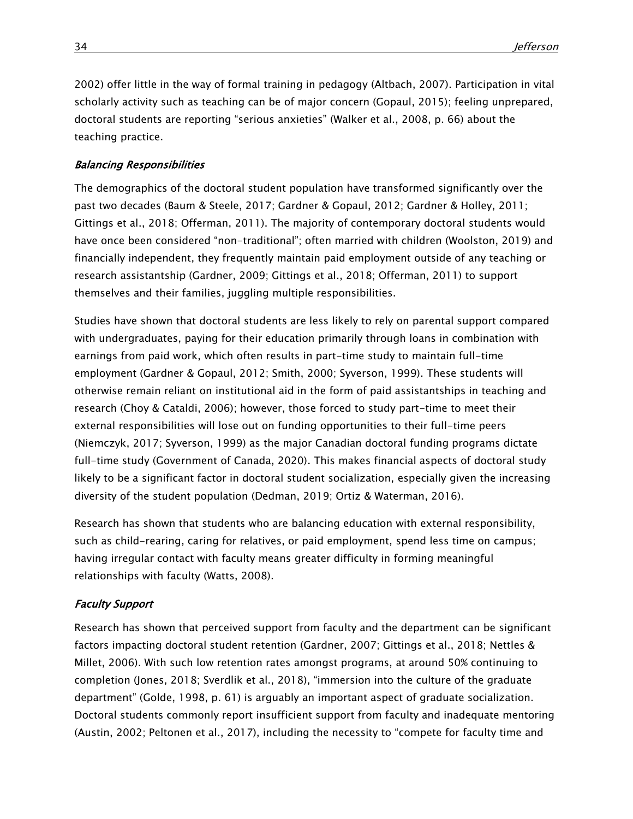2002) offer little in the way of formal training in pedagogy (Altbach, 2007). Participation in vital scholarly activity such as teaching can be of major concern (Gopaul, 2015); feeling unprepared, doctoral students are reporting "serious anxieties" (Walker et al., 2008, p. 66) about the teaching practice.

#### Balancing Responsibilities

The demographics of the doctoral student population have transformed significantly over the past two decades (Baum & Steele, 2017; Gardner & Gopaul, 2012; Gardner & Holley, 2011; Gittings et al., 2018; Offerman, 2011). The majority of contemporary doctoral students would have once been considered "non-traditional"; often married with children (Woolston, 2019) and financially independent, they frequently maintain paid employment outside of any teaching or research assistantship (Gardner, 2009; Gittings et al., 2018; Offerman, 2011) to support themselves and their families, juggling multiple responsibilities.

Studies have shown that doctoral students are less likely to rely on parental support compared with undergraduates, paying for their education primarily through loans in combination with earnings from paid work, which often results in part-time study to maintain full-time employment (Gardner & Gopaul, 2012; Smith, 2000; Syverson, 1999). These students will otherwise remain reliant on institutional aid in the form of paid assistantships in teaching and research (Choy & Cataldi, 2006); however, those forced to study part-time to meet their external responsibilities will lose out on funding opportunities to their full-time peers (Niemczyk, 2017; Syverson, 1999) as the major Canadian doctoral funding programs dictate full-time study (Government of Canada, 2020). This makes financial aspects of doctoral study likely to be a significant factor in doctoral student socialization, especially given the increasing diversity of the student population (Dedman, 2019; Ortiz & Waterman, 2016).

Research has shown that students who are balancing education with external responsibility, such as child-rearing, caring for relatives, or paid employment, spend less time on campus; having irregular contact with faculty means greater difficulty in forming meaningful relationships with faculty (Watts, 2008).

#### Faculty Support

Research has shown that perceived support from faculty and the department can be significant factors impacting doctoral student retention (Gardner, 2007; Gittings et al., 2018; Nettles & Millet, 2006). With such low retention rates amongst programs, at around 50% continuing to completion (Jones, 2018; Sverdlik et al., 2018), "immersion into the culture of the graduate department" (Golde, 1998, p. 61) is arguably an important aspect of graduate socialization. Doctoral students commonly report insufficient support from faculty and inadequate mentoring (Austin, 2002; Peltonen et al., 2017), including the necessity to "compete for faculty time and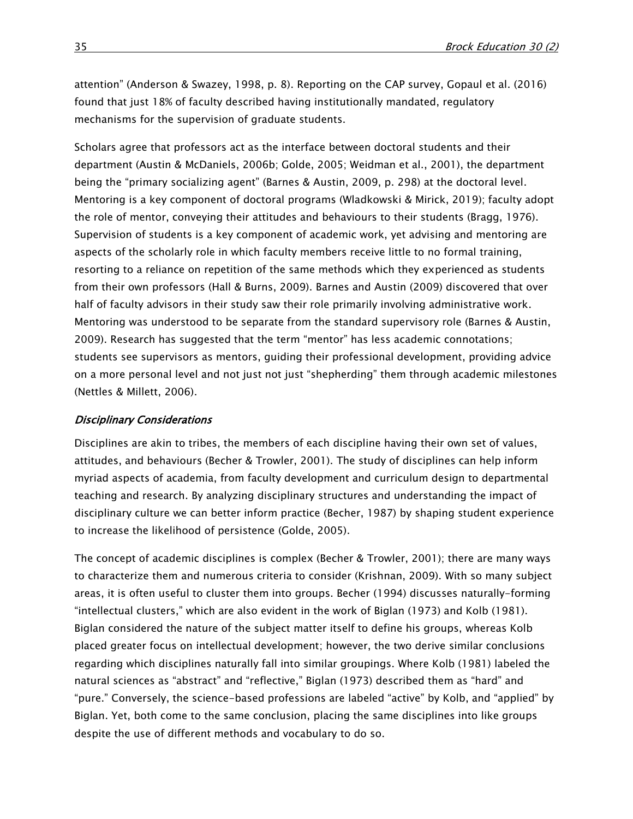attention" (Anderson & Swazey, 1998, p. 8). Reporting on the CAP survey, Gopaul et al. (2016) found that just 18% of faculty described having institutionally mandated, regulatory mechanisms for the supervision of graduate students.

Scholars agree that professors act as the interface between doctoral students and their department (Austin & McDaniels, 2006b; Golde, 2005; Weidman et al., 2001), the department being the "primary socializing agent" (Barnes & Austin, 2009, p. 298) at the doctoral level. Mentoring is a key component of doctoral programs (Wladkowski & Mirick, 2019); faculty adopt the role of mentor, conveying their attitudes and behaviours to their students (Bragg, 1976). Supervision of students is a key component of academic work, yet advising and mentoring are aspects of the scholarly role in which faculty members receive little to no formal training, resorting to a reliance on repetition of the same methods which they experienced as students from their own professors (Hall & Burns, 2009). Barnes and Austin (2009) discovered that over half of faculty advisors in their study saw their role primarily involving administrative work. Mentoring was understood to be separate from the standard supervisory role (Barnes & Austin, 2009). Research has suggested that the term "mentor" has less academic connotations; students see supervisors as mentors, guiding their professional development, providing advice on a more personal level and not just not just "shepherding" them through academic milestones (Nettles & Millett, 2006).

#### Disciplinary Considerations

Disciplines are akin to tribes, the members of each discipline having their own set of values, attitudes, and behaviours (Becher & Trowler, 2001). The study of disciplines can help inform myriad aspects of academia, from faculty development and curriculum design to departmental teaching and research. By analyzing disciplinary structures and understanding the impact of disciplinary culture we can better inform practice (Becher, 1987) by shaping student experience to increase the likelihood of persistence (Golde, 2005).

The concept of academic disciplines is complex (Becher & Trowler, 2001); there are many ways to characterize them and numerous criteria to consider (Krishnan, 2009). With so many subject areas, it is often useful to cluster them into groups. Becher (1994) discusses naturally-forming "intellectual clusters," which are also evident in the work of Biglan (1973) and Kolb (1981). Biglan considered the nature of the subject matter itself to define his groups, whereas Kolb placed greater focus on intellectual development; however, the two derive similar conclusions regarding which disciplines naturally fall into similar groupings. Where Kolb (1981) labeled the natural sciences as "abstract" and "reflective," Biglan (1973) described them as "hard" and "pure." Conversely, the science-based professions are labeled "active" by Kolb, and "applied" by Biglan. Yet, both come to the same conclusion, placing the same disciplines into like groups despite the use of different methods and vocabulary to do so.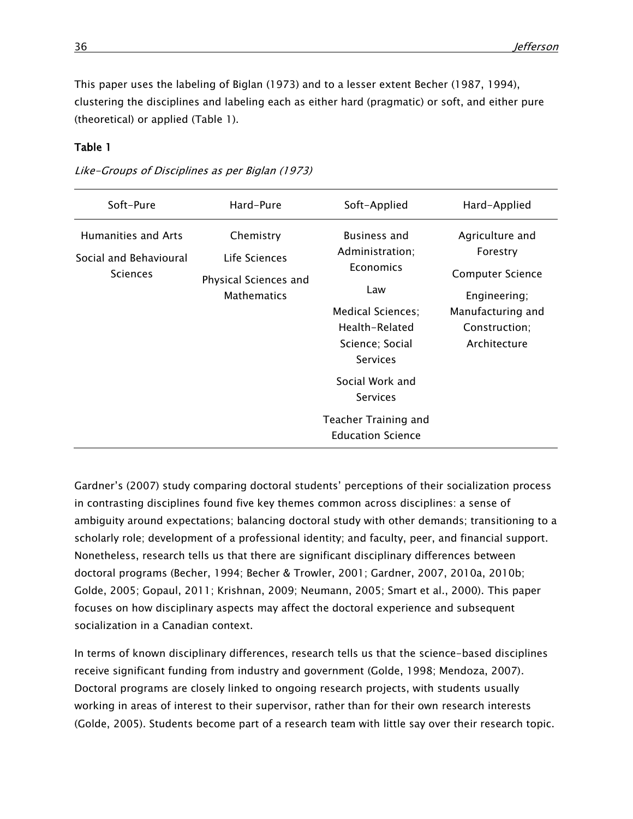This paper uses the labeling of Biglan (1973) and to a lesser extent Becher (1987, 1994), clustering the disciplines and labeling each as either hard (pragmatic) or soft, and either pure (theoretical) or applied (Table 1).

## Table 1

Like-Groups of Disciplines as per Biglan (1973)

| Soft-Pure                                                        | Hard-Pure                                                                 | Soft-Applied                                                                                                                                                                         | Hard-Applied                                                                                                                 |
|------------------------------------------------------------------|---------------------------------------------------------------------------|--------------------------------------------------------------------------------------------------------------------------------------------------------------------------------------|------------------------------------------------------------------------------------------------------------------------------|
| Humanities and Arts<br>Social and Behavioural<br><b>Sciences</b> | Chemistry<br>Life Sciences<br>Physical Sciences and<br><b>Mathematics</b> | <b>Business and</b><br>Administration;<br>Economics<br>Law<br><b>Medical Sciences:</b><br>Health-Related<br>Science; Social<br><b>Services</b><br>Social Work and<br><b>Services</b> | Agriculture and<br>Forestry<br><b>Computer Science</b><br>Engineering;<br>Manufacturing and<br>Construction;<br>Architecture |
|                                                                  |                                                                           | Teacher Training and<br><b>Education Science</b>                                                                                                                                     |                                                                                                                              |

Gardner's (2007) study comparing doctoral students' perceptions of their socialization process in contrasting disciplines found five key themes common across disciplines: a sense of ambiguity around expectations; balancing doctoral study with other demands; transitioning to a scholarly role; development of a professional identity; and faculty, peer, and financial support. Nonetheless, research tells us that there are significant disciplinary differences between doctoral programs (Becher, 1994; Becher & Trowler, 2001; Gardner, 2007, 2010a, 2010b; Golde, 2005; Gopaul, 2011; Krishnan, 2009; Neumann, 2005; Smart et al., 2000). This paper focuses on how disciplinary aspects may affect the doctoral experience and subsequent socialization in a Canadian context.

In terms of known disciplinary differences, research tells us that the science-based disciplines receive significant funding from industry and government (Golde, 1998; Mendoza, 2007). Doctoral programs are closely linked to ongoing research projects, with students usually working in areas of interest to their supervisor, rather than for their own research interests (Golde, 2005). Students become part of a research team with little say over their research topic.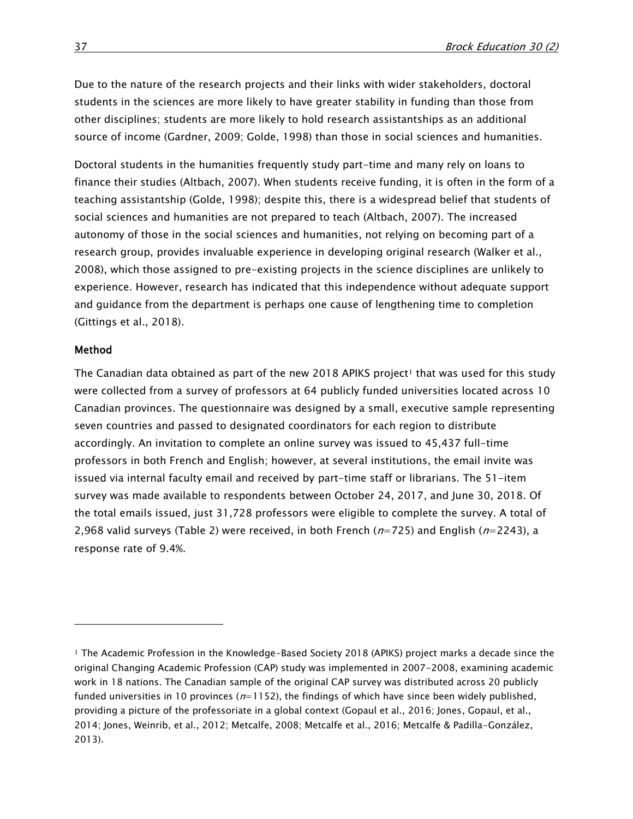Due to the nature of the research projects and their links with wider stakeholders, doctoral students in the sciences are more likely to have greater stability in funding than those from other disciplines; students are more likely to hold research assistantships as an additional source of income (Gardner, 2009; Golde, 1998) than those in social sciences and humanities.

Doctoral students in the humanities frequently study part-time and many rely on loans to finance their studies (Altbach, 2007). When students receive funding, it is often in the form of a teaching assistantship (Golde, 1998); despite this, there is a widespread belief that students of social sciences and humanities are not prepared to teach (Altbach, 2007). The increased autonomy of those in the social sciences and humanities, not relying on becoming part of a research group, provides invaluable experience in developing original research (Walker et al., 2008), which those assigned to pre-existing projects in the science disciplines are unlikely to experience. However, research has indicated that this independence without adequate support and guidance from the department is perhaps one cause of lengthening time to completion (Gittings et al., 2018).

#### Method

 $\overline{a}$ 

The Canadian data obtained as part of the new 2018 APIKS project<sup>1</sup> that was used for this study were collected from a survey of professors at 64 publicly funded universities located across 10 Canadian provinces. The questionnaire was designed by a small, executive sample representing seven countries and passed to designated coordinators for each region to distribute accordingly. An invitation to complete an online survey was issued to 45,437 full-time professors in both French and English; however, at several institutions, the email invite was issued via internal faculty email and received by part-time staff or librarians. The 51-item survey was made available to respondents between October 24, 2017, and June 30, 2018. Of the total emails issued, just 31,728 professors were eligible to complete the survey. A total of 2,968 valid surveys (Table 2) were received, in both French ( $n=725$ ) and English ( $n=2243$ ), a response rate of 9.4%.

<sup>1</sup> The Academic Profession in the Knowledge-Based Society 2018 (APIKS) project marks a decade since the original Changing Academic Profession (CAP) study was implemented in 2007-2008, examining academic work in 18 nations. The Canadian sample of the original CAP survey was distributed across 20 publicly funded universities in 10 provinces ( $n=1152$ ), the findings of which have since been widely published, providing a picture of the professoriate in a global context (Gopaul et al., 2016; Jones, Gopaul, et al., 2014; Jones, Weinrib, et al., 2012; Metcalfe, 2008; Metcalfe et al., 2016; Metcalfe & Padilla-González, 2013).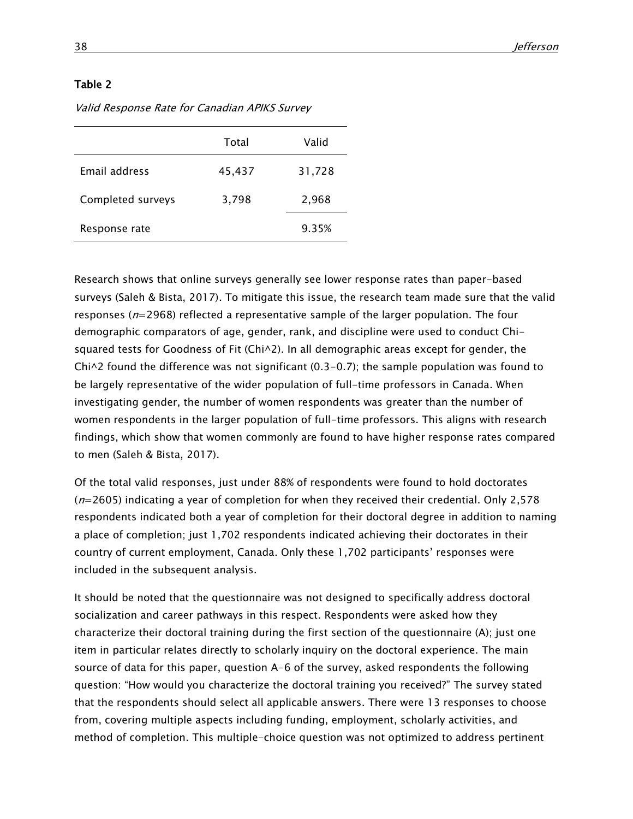|                   | Total  | Valid  |
|-------------------|--------|--------|
| Email address     | 45,437 | 31,728 |
| Completed surveys | 3,798  | 2,968  |
| Response rate     |        | 9.35%  |

Valid Response Rate for Canadian APIKS Survey

Research shows that online surveys generally see lower response rates than paper-based surveys (Saleh & Bista, 2017). To mitigate this issue, the research team made sure that the valid responses ( $n=2968$ ) reflected a representative sample of the larger population. The four demographic comparators of age, gender, rank, and discipline were used to conduct Chisquared tests for Goodness of Fit ( $Chi^2$ ). In all demographic areas except for gender, the  $Chi\sim2$  found the difference was not significant (0.3-0.7); the sample population was found to be largely representative of the wider population of full-time professors in Canada. When investigating gender, the number of women respondents was greater than the number of women respondents in the larger population of full-time professors. This aligns with research findings, which show that women commonly are found to have higher response rates compared to men (Saleh & Bista, 2017).

Of the total valid responses, just under 88% of respondents were found to hold doctorates  $(n=2605)$  indicating a year of completion for when they received their credential. Only 2,578 respondents indicated both a year of completion for their doctoral degree in addition to naming a place of completion; just 1,702 respondents indicated achieving their doctorates in their country of current employment, Canada. Only these 1,702 participants' responses were included in the subsequent analysis.

It should be noted that the questionnaire was not designed to specifically address doctoral socialization and career pathways in this respect. Respondents were asked how they characterize their doctoral training during the first section of the questionnaire (A); just one item in particular relates directly to scholarly inquiry on the doctoral experience. The main source of data for this paper, question A-6 of the survey, asked respondents the following question: "How would you characterize the doctoral training you received?" The survey stated that the respondents should select all applicable answers. There were 13 responses to choose from, covering multiple aspects including funding, employment, scholarly activities, and method of completion. This multiple-choice question was not optimized to address pertinent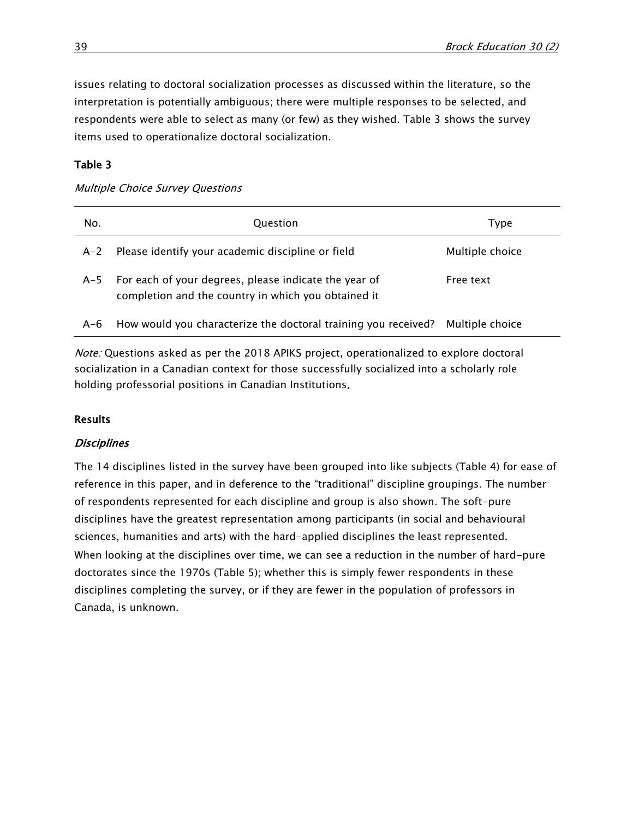issues relating to doctoral socialization processes as discussed within the literature, so the interpretation is potentially ambiguous; there were multiple responses to be selected, and respondents were able to select as many (or few) as they wished. Table 3 shows the survey items used to operationalize doctoral socialization.

## Table 3

## Multiple Choice Survey Questions

| No.   | Question                                                                                                     | Type            |
|-------|--------------------------------------------------------------------------------------------------------------|-----------------|
| $A-2$ | Please identify your academic discipline or field                                                            | Multiple choice |
| $A-5$ | For each of your degrees, please indicate the year of<br>completion and the country in which you obtained it | Free text       |
| $A-6$ | How would you characterize the doctoral training you received?                                               | Multiple choice |

Note: Questions asked as per the 2018 APIKS project, operationalized to explore doctoral socialization in a Canadian context for those successfully socialized into a scholarly role holding professorial positions in Canadian Institutions.

## **Results**

## **Disciplines**

The 14 disciplines listed in the survey have been grouped into like subjects (Table 4) for ease of reference in this paper, and in deference to the "traditional" discipline groupings. The number of respondents represented for each discipline and group is also shown. The soft-pure disciplines have the greatest representation among participants (in social and behavioural sciences, humanities and arts) with the hard-applied disciplines the least represented. When looking at the disciplines over time, we can see a reduction in the number of hard-pure doctorates since the 1970s (Table 5); whether this is simply fewer respondents in these disciplines completing the survey, or if they are fewer in the population of professors in Canada, is unknown.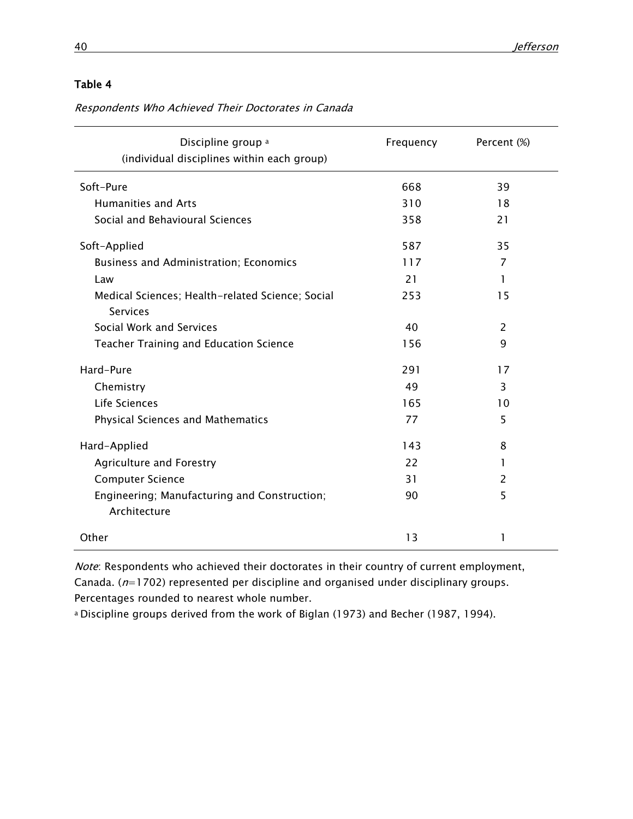Respondents Who Achieved Their Doctorates in Canada

| Discipline group <sup>a</sup><br>(individual disciplines within each group) | Frequency | Percent (%)    |
|-----------------------------------------------------------------------------|-----------|----------------|
| Soft-Pure                                                                   | 668       | 39             |
| <b>Humanities and Arts</b>                                                  | 310       | 18             |
| Social and Behavioural Sciences                                             | 358       | 21             |
| Soft-Applied                                                                | 587       | 35             |
| Business and Administration; Economics                                      | 117       | 7              |
| Law                                                                         | 21        | 1              |
| Medical Sciences; Health-related Science; Social<br><b>Services</b>         | 253       | 15             |
| Social Work and Services                                                    | 40        | $\overline{2}$ |
| Teacher Training and Education Science                                      | 156       | 9              |
| Hard-Pure                                                                   | 291       | 17             |
| Chemistry                                                                   | 49        | 3              |
| Life Sciences                                                               | 165       | 10             |
| <b>Physical Sciences and Mathematics</b>                                    | 77        | 5              |
| Hard-Applied                                                                | 143       | 8              |
| Agriculture and Forestry                                                    | 22        | 1              |
| <b>Computer Science</b>                                                     | 31        | 2              |
| Engineering; Manufacturing and Construction;<br>Architecture                | 90        | 5              |
| Other                                                                       | 13        | 1              |

Note: Respondents who achieved their doctorates in their country of current employment, Canada. ( $n=1702$ ) represented per discipline and organised under disciplinary groups. Percentages rounded to nearest whole number.

a Discipline groups derived from the work of Biglan (1973) and Becher (1987, 1994).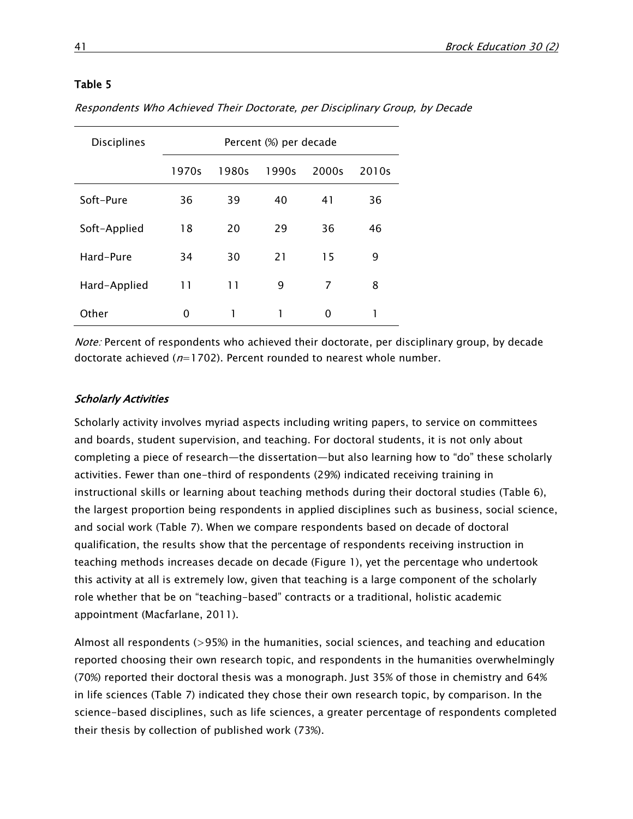| <b>Disciplines</b> | Percent (%) per decade |       |       |       |       |  |
|--------------------|------------------------|-------|-------|-------|-------|--|
|                    | 1970s                  | 1980s | 1990s | 2000s | 2010s |  |
| Soft-Pure          | 36                     | 39    | 40    | 41    | 36    |  |
| Soft-Applied       | 18                     | 20    | 29    | 36    | 46    |  |
| Hard-Pure          | 34                     | 30    | 21    | 15    | 9     |  |
| Hard-Applied       | 11                     | 11    | 9     | 7     | 8     |  |
| Other              | 0                      | 1     | 1     | O     |       |  |

Respondents Who Achieved Their Doctorate, per Disciplinary Group, by Decade

Note: Percent of respondents who achieved their doctorate, per disciplinary group, by decade doctorate achieved ( $n=1702$ ). Percent rounded to nearest whole number.

#### Scholarly Activities

Scholarly activity involves myriad aspects including writing papers, to service on committees and boards, student supervision, and teaching. For doctoral students, it is not only about completing a piece of research—the dissertation—but also learning how to "do" these scholarly activities. Fewer than one-third of respondents (29%) indicated receiving training in instructional skills or learning about teaching methods during their doctoral studies (Table 6), the largest proportion being respondents in applied disciplines such as business, social science, and social work (Table 7). When we compare respondents based on decade of doctoral qualification, the results show that the percentage of respondents receiving instruction in teaching methods increases decade on decade (Figure 1), yet the percentage who undertook this activity at all is extremely low, given that teaching is a large component of the scholarly role whether that be on "teaching-based" contracts or a traditional, holistic academic appointment (Macfarlane, 2011).

Almost all respondents (>95%) in the humanities, social sciences, and teaching and education reported choosing their own research topic, and respondents in the humanities overwhelmingly (70%) reported their doctoral thesis was a monograph. Just 35% of those in chemistry and 64% in life sciences (Table 7) indicated they chose their own research topic, by comparison. In the science-based disciplines, such as life sciences, a greater percentage of respondents completed their thesis by collection of published work (73%).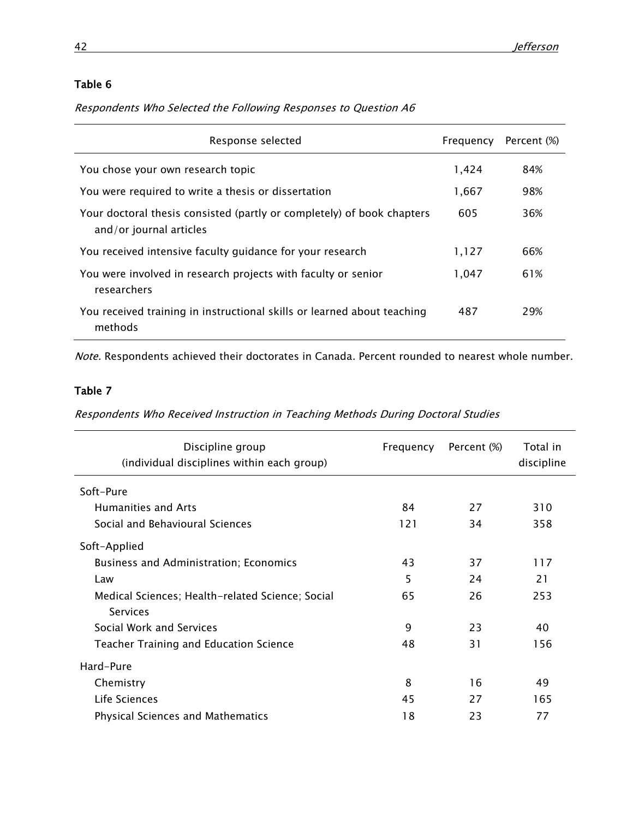Respondents Who Selected the Following Responses to Question A6

| Response selected                                                                                 | Frequency | Percent (%) |
|---------------------------------------------------------------------------------------------------|-----------|-------------|
| You chose your own research topic                                                                 | 1,424     | 84%         |
| You were required to write a thesis or dissertation                                               | 1,667     | 98%         |
| Your doctoral thesis consisted (partly or completely) of book chapters<br>and/or journal articles | 605       | 36%         |
| You received intensive faculty guidance for your research                                         | 1,127     | 66%         |
| You were involved in research projects with faculty or senior<br>researchers                      | 1,047     | 61%         |
| You received training in instructional skills or learned about teaching<br>methods                | 487       | 29%         |

Note. Respondents achieved their doctorates in Canada. Percent rounded to nearest whole number.

## Table 7

Respondents Who Received Instruction in Teaching Methods During Doctoral Studies

| Discipline group<br>(individual disciplines within each group) | Frequency | Percent (%) | Total in<br>discipline |
|----------------------------------------------------------------|-----------|-------------|------------------------|
| Soft-Pure                                                      |           |             |                        |
| Humanities and Arts                                            | 84        | 27          | 310                    |
| Social and Behavioural Sciences                                | 121       | 34          | 358                    |
| Soft-Applied                                                   |           |             |                        |
| <b>Business and Administration; Economics</b>                  | 43        | 37          | 117                    |
| Law                                                            | 5         | 24          | 21                     |
| Medical Sciences; Health-related Science; Social               | 65        | 26          | 253                    |
| Services                                                       |           |             |                        |
| Social Work and Services                                       | 9         | 23          | 40                     |
| Teacher Training and Education Science                         | 48        | 31          | 156                    |
| Hard-Pure                                                      |           |             |                        |
| Chemistry                                                      | 8         | 16          | 49                     |
| Life Sciences                                                  | 45        | 27          | 165                    |
| <b>Physical Sciences and Mathematics</b>                       | 18        | 23          | 77                     |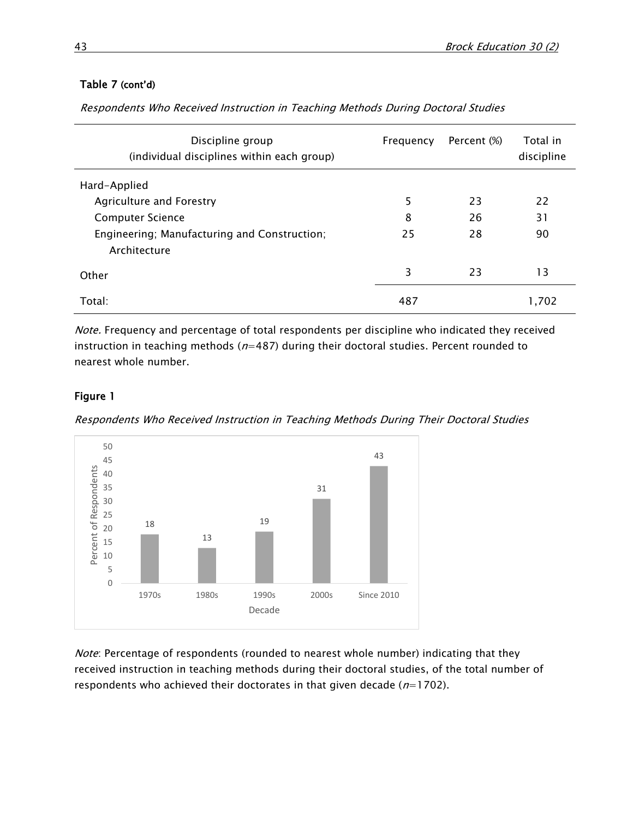## Table 7 (cont'd)

Respondents Who Received Instruction in Teaching Methods During Doctoral Studies

| Discipline group<br>(individual disciplines within each group) | Frequency | Percent (%) | Total in<br>discipline |
|----------------------------------------------------------------|-----------|-------------|------------------------|
| Hard-Applied                                                   |           |             |                        |
| Agriculture and Forestry                                       | 5         | 23          | 22                     |
| <b>Computer Science</b>                                        | 8         | 26          | 31                     |
| Engineering; Manufacturing and Construction;<br>Architecture   | 25        | 28          | 90                     |
| Other                                                          | 3         | 23          | 13                     |
| Total:                                                         | 487       |             | 1,702                  |

Note. Frequency and percentage of total respondents per discipline who indicated they received instruction in teaching methods ( $n=487$ ) during their doctoral studies. Percent rounded to nearest whole number.

## Figure 1

Respondents Who Received Instruction in Teaching Methods During Their Doctoral Studies



Note: Percentage of respondents (rounded to nearest whole number) indicating that they received instruction in teaching methods during their doctoral studies, of the total number of respondents who achieved their doctorates in that given decade  $(n=1702)$ .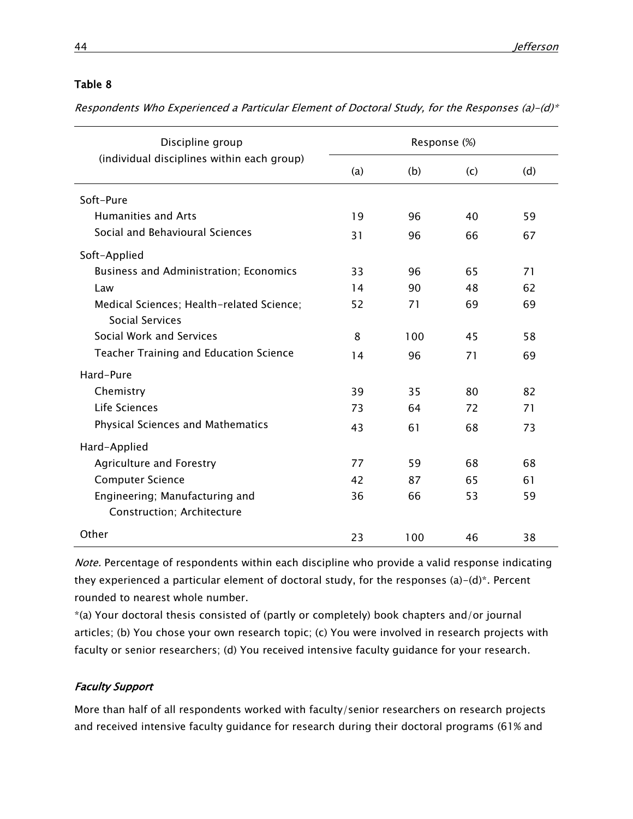Respondents Who Experienced a Particular Element of Doctoral Study, for the Responses (a)-(d)\*

| Discipline group                                             | Response (%) |     |     |     |
|--------------------------------------------------------------|--------------|-----|-----|-----|
| (individual disciplines within each group)                   | (a)          | (b) | (c) | (d) |
| Soft-Pure                                                    |              |     |     |     |
| <b>Humanities and Arts</b>                                   | 19           | 96  | 40  | 59  |
| Social and Behavioural Sciences                              | 31           | 96  | 66  | 67  |
| Soft-Applied                                                 |              |     |     |     |
| Business and Administration; Economics                       | 33           | 96  | 65  | 71  |
| Law                                                          | 14           | 90  | 48  | 62  |
| Medical Sciences; Health-related Science;<br>Social Services | 52           | 71  | 69  | 69  |
| Social Work and Services                                     | 8            | 100 | 45  | 58  |
| <b>Teacher Training and Education Science</b>                | 14           | 96  | 71  | 69  |
| Hard-Pure                                                    |              |     |     |     |
| Chemistry                                                    | 39           | 35  | 80  | 82  |
| Life Sciences                                                | 73           | 64  | 72  | 71  |
| <b>Physical Sciences and Mathematics</b>                     | 43           | 61  | 68  | 73  |
| Hard-Applied                                                 |              |     |     |     |
| Agriculture and Forestry                                     | 77           | 59  | 68  | 68  |
| <b>Computer Science</b>                                      | 42           | 87  | 65  | 61  |
| Engineering; Manufacturing and<br>Construction; Architecture | 36           | 66  | 53  | 59  |
| Other                                                        | 23           | 100 | 46  | 38  |

Note. Percentage of respondents within each discipline who provide a valid response indicating they experienced a particular element of doctoral study, for the responses (a)-(d)\*. Percent rounded to nearest whole number.

\*(a) Your doctoral thesis consisted of (partly or completely) book chapters and/or journal articles; (b) You chose your own research topic; (c) You were involved in research projects with faculty or senior researchers; (d) You received intensive faculty guidance for your research.

## Faculty Support

More than half of all respondents worked with faculty/senior researchers on research projects and received intensive faculty guidance for research during their doctoral programs (61% and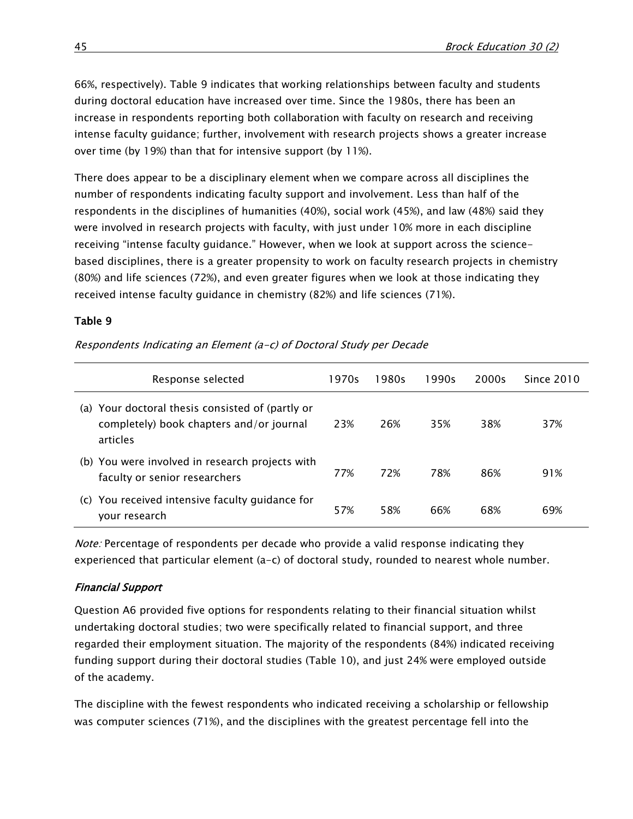66%, respectively). Table 9 indicates that working relationships between faculty and students during doctoral education have increased over time. Since the 1980s, there has been an increase in respondents reporting both collaboration with faculty on research and receiving intense faculty guidance; further, involvement with research projects shows a greater increase over time (by 19%) than that for intensive support (by 11%).

There does appear to be a disciplinary element when we compare across all disciplines the number of respondents indicating faculty support and involvement. Less than half of the respondents in the disciplines of humanities (40%), social work (45%), and law (48%) said they were involved in research projects with faculty, with just under 10% more in each discipline receiving "intense faculty guidance." However, when we look at support across the sciencebased disciplines, there is a greater propensity to work on faculty research projects in chemistry (80%) and life sciences (72%), and even greater figures when we look at those indicating they received intense faculty guidance in chemistry (82%) and life sciences (71%).

## Table 9

| Response selected                                                                                        | 1970s | 1980s | 1990s | 2000s | Since 2010 |
|----------------------------------------------------------------------------------------------------------|-------|-------|-------|-------|------------|
| (a) Your doctoral thesis consisted of (partly or<br>completely) book chapters and/or journal<br>articles | 23%   | 26%   | 35%   | 38%   | 37%        |
| (b) You were involved in research projects with<br>faculty or senior researchers                         | 77%   | 72%   | 78%   | 86%   | 91%        |
| You received intensive faculty guidance for<br>(C)<br>your research                                      | 57%   | 58%   | 66%   | 68%   | 69%        |

Respondents Indicating an Element (a-c) of Doctoral Study per Decade

Note: Percentage of respondents per decade who provide a valid response indicating they experienced that particular element (a-c) of doctoral study, rounded to nearest whole number.

## Financial Support

Question A6 provided five options for respondents relating to their financial situation whilst undertaking doctoral studies; two were specifically related to financial support, and three regarded their employment situation. The majority of the respondents (84%) indicated receiving funding support during their doctoral studies (Table 10), and just 24% were employed outside of the academy.

The discipline with the fewest respondents who indicated receiving a scholarship or fellowship was computer sciences (71%), and the disciplines with the greatest percentage fell into the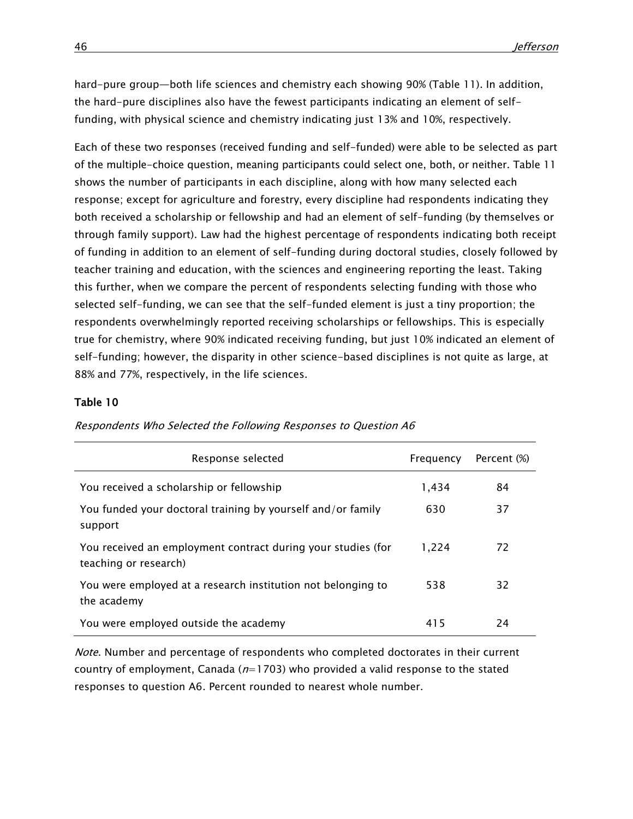hard-pure group—both life sciences and chemistry each showing 90% (Table 11). In addition, the hard-pure disciplines also have the fewest participants indicating an element of selffunding, with physical science and chemistry indicating just 13% and 10%, respectively.

Each of these two responses (received funding and self-funded) were able to be selected as part of the multiple-choice question, meaning participants could select one, both, or neither. Table 11 shows the number of participants in each discipline, along with how many selected each response; except for agriculture and forestry, every discipline had respondents indicating they both received a scholarship or fellowship and had an element of self-funding (by themselves or through family support). Law had the highest percentage of respondents indicating both receipt of funding in addition to an element of self-funding during doctoral studies, closely followed by teacher training and education, with the sciences and engineering reporting the least. Taking this further, when we compare the percent of respondents selecting funding with those who selected self-funding, we can see that the self-funded element is just a tiny proportion; the respondents overwhelmingly reported receiving scholarships or fellowships. This is especially true for chemistry, where 90% indicated receiving funding, but just 10% indicated an element of self-funding; however, the disparity in other science-based disciplines is not quite as large, at 88% and 77%, respectively, in the life sciences.

#### Table 10

| Response selected                                                                     | Frequency | Percent (%) |
|---------------------------------------------------------------------------------------|-----------|-------------|
| You received a scholarship or fellowship                                              | 1,434     | 84          |
| You funded your doctoral training by yourself and/or family<br>support                | 630       | 37          |
| You received an employment contract during your studies (for<br>teaching or research) | 1,224     | 72          |
| You were employed at a research institution not belonging to<br>the academy           | 538       | 32          |
| You were employed outside the academy                                                 | 415       | 24          |

Respondents Who Selected the Following Responses to Question A6

Note. Number and percentage of respondents who completed doctorates in their current country of employment, Canada ( $n=1703$ ) who provided a valid response to the stated responses to question A6. Percent rounded to nearest whole number.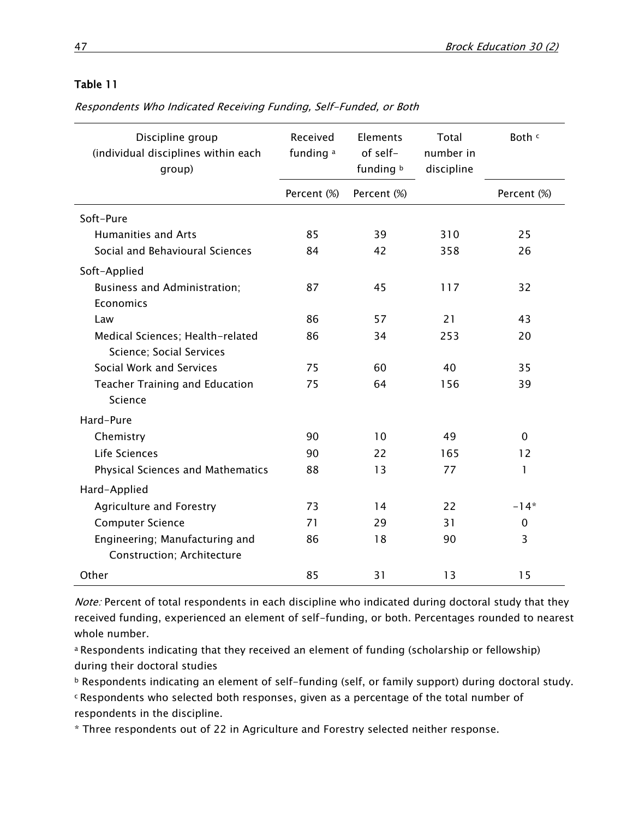| Discipline group<br>(individual disciplines within each<br>group) | Received<br>funding a | Elements<br>of self-<br>funding b | Total<br>number in<br>discipline | Both c      |
|-------------------------------------------------------------------|-----------------------|-----------------------------------|----------------------------------|-------------|
|                                                                   | Percent (%)           | Percent (%)                       |                                  | Percent (%) |
| Soft-Pure                                                         |                       |                                   |                                  |             |
| <b>Humanities and Arts</b>                                        | 85                    | 39                                | 310                              | 25          |
| Social and Behavioural Sciences                                   | 84                    | 42                                | 358                              | 26          |
| Soft-Applied                                                      |                       |                                   |                                  |             |
| <b>Business and Administration;</b>                               | 87                    | 45                                | 117                              | 32          |
| Economics                                                         |                       |                                   |                                  |             |
| Law                                                               | 86                    | 57                                | 21                               | 43          |
| Medical Sciences; Health-related<br>Science; Social Services      | 86                    | 34                                | 253                              | 20          |
| Social Work and Services                                          | 75                    | 60                                | 40                               | 35          |
| <b>Teacher Training and Education</b><br>Science                  | 75                    | 64                                | 156                              | 39          |
| Hard-Pure                                                         |                       |                                   |                                  |             |
| Chemistry                                                         | 90                    | 10                                | 49                               | $\mathbf 0$ |
| Life Sciences                                                     | 90                    | 22                                | 165                              | 12          |
| Physical Sciences and Mathematics                                 | 88                    | 13                                | 77                               | 1           |
| Hard-Applied                                                      |                       |                                   |                                  |             |
| <b>Agriculture and Forestry</b>                                   | 73                    | 14                                | 22                               | $-14*$      |
| <b>Computer Science</b>                                           | 71                    | 29                                | 31                               | 0           |
| Engineering; Manufacturing and<br>Construction; Architecture      | 86                    | 18                                | 90                               | 3           |
| Other                                                             | 85                    | 31                                | 13                               | 15          |

Respondents Who Indicated Receiving Funding, Self-Funded, or Both

Note: Percent of total respondents in each discipline who indicated during doctoral study that they received funding, experienced an element of self-funding, or both. Percentages rounded to nearest whole number.

a Respondents indicating that they received an element of funding (scholarship or fellowship) during their doctoral studies

<sup>b</sup> Respondents indicating an element of self-funding (self, or family support) during doctoral study.

<sup>c</sup>Respondents who selected both responses, given as a percentage of the total number of respondents in the discipline.

\* Three respondents out of 22 in Agriculture and Forestry selected neither response.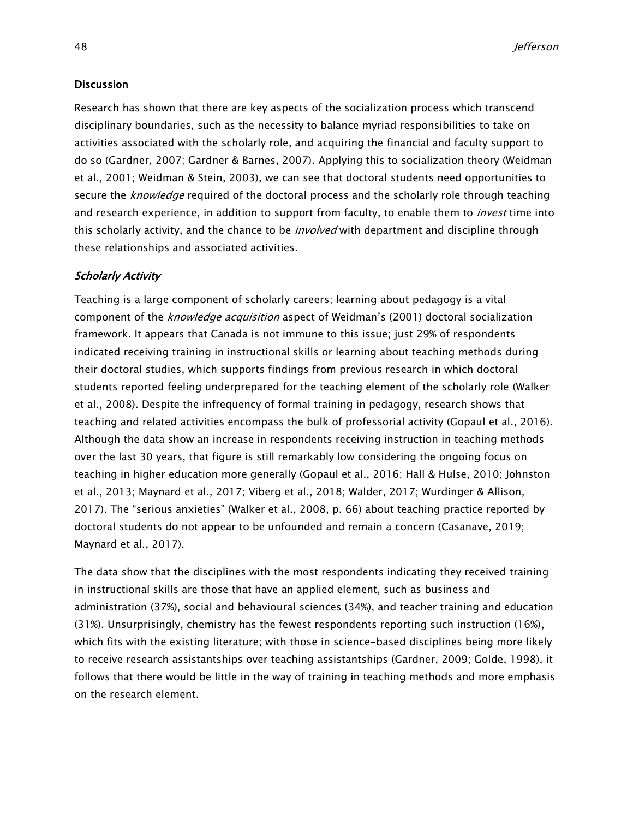#### **Discussion**

Research has shown that there are key aspects of the socialization process which transcend disciplinary boundaries, such as the necessity to balance myriad responsibilities to take on activities associated with the scholarly role, and acquiring the financial and faculty support to do so (Gardner, 2007; Gardner & Barnes, 2007). Applying this to socialization theory (Weidman et al., 2001; Weidman & Stein, 2003), we can see that doctoral students need opportunities to secure the *knowledge* required of the doctoral process and the scholarly role through teaching and research experience, in addition to support from faculty, to enable them to *invest* time into this scholarly activity, and the chance to be *involved* with department and discipline through these relationships and associated activities.

#### Scholarly Activity

Teaching is a large component of scholarly careers; learning about pedagogy is a vital component of the *knowledge acquisition* aspect of Weidman's (2001) doctoral socialization framework. It appears that Canada is not immune to this issue; just 29% of respondents indicated receiving training in instructional skills or learning about teaching methods during their doctoral studies, which supports findings from previous research in which doctoral students reported feeling underprepared for the teaching element of the scholarly role (Walker et al., 2008). Despite the infrequency of formal training in pedagogy, research shows that teaching and related activities encompass the bulk of professorial activity (Gopaul et al., 2016). Although the data show an increase in respondents receiving instruction in teaching methods over the last 30 years, that figure is still remarkably low considering the ongoing focus on teaching in higher education more generally (Gopaul et al., 2016; Hall & Hulse, 2010; Johnston et al., 2013; Maynard et al., 2017; Viberg et al., 2018; Walder, 2017; Wurdinger & Allison, 2017). The "serious anxieties" (Walker et al., 2008, p. 66) about teaching practice reported by doctoral students do not appear to be unfounded and remain a concern (Casanave, 2019; Maynard et al., 2017).

The data show that the disciplines with the most respondents indicating they received training in instructional skills are those that have an applied element, such as business and administration (37%), social and behavioural sciences (34%), and teacher training and education (31%). Unsurprisingly, chemistry has the fewest respondents reporting such instruction (16%), which fits with the existing literature; with those in science-based disciplines being more likely to receive research assistantships over teaching assistantships (Gardner, 2009; Golde, 1998), it follows that there would be little in the way of training in teaching methods and more emphasis on the research element.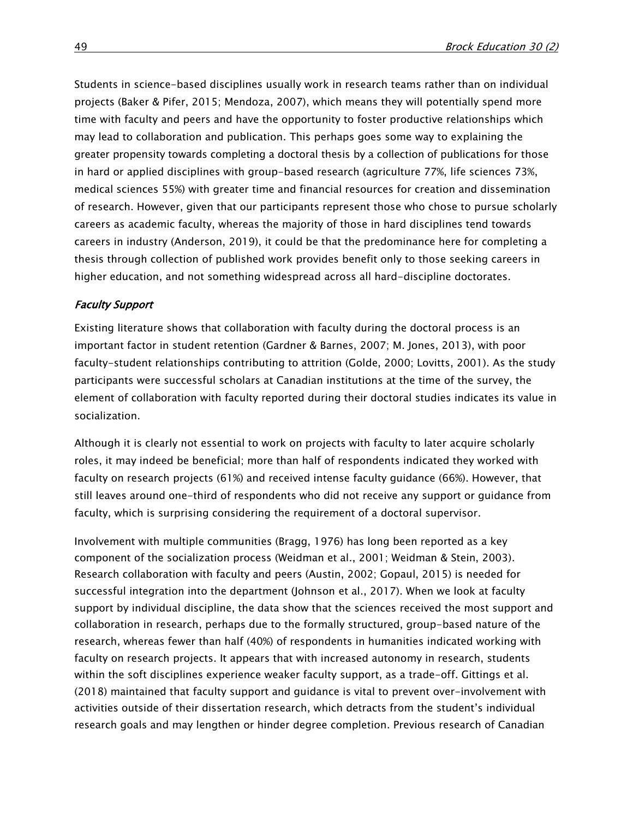Students in science-based disciplines usually work in research teams rather than on individual projects (Baker & Pifer, 2015; Mendoza, 2007), which means they will potentially spend more time with faculty and peers and have the opportunity to foster productive relationships which may lead to collaboration and publication. This perhaps goes some way to explaining the greater propensity towards completing a doctoral thesis by a collection of publications for those in hard or applied disciplines with group-based research (agriculture 77%, life sciences 73%, medical sciences 55%) with greater time and financial resources for creation and dissemination of research. However, given that our participants represent those who chose to pursue scholarly careers as academic faculty, whereas the majority of those in hard disciplines tend towards careers in industry (Anderson, 2019), it could be that the predominance here for completing a thesis through collection of published work provides benefit only to those seeking careers in higher education, and not something widespread across all hard-discipline doctorates.

#### Faculty Support

Existing literature shows that collaboration with faculty during the doctoral process is an important factor in student retention (Gardner & Barnes, 2007; M. Jones, 2013), with poor faculty-student relationships contributing to attrition (Golde, 2000; Lovitts, 2001). As the study participants were successful scholars at Canadian institutions at the time of the survey, the element of collaboration with faculty reported during their doctoral studies indicates its value in socialization.

Although it is clearly not essential to work on projects with faculty to later acquire scholarly roles, it may indeed be beneficial; more than half of respondents indicated they worked with faculty on research projects (61%) and received intense faculty guidance (66%). However, that still leaves around one-third of respondents who did not receive any support or guidance from faculty, which is surprising considering the requirement of a doctoral supervisor.

Involvement with multiple communities (Bragg, 1976) has long been reported as a key component of the socialization process (Weidman et al., 2001; Weidman & Stein, 2003). Research collaboration with faculty and peers (Austin, 2002; Gopaul, 2015) is needed for successful integration into the department (Johnson et al., 2017). When we look at faculty support by individual discipline, the data show that the sciences received the most support and collaboration in research, perhaps due to the formally structured, group-based nature of the research, whereas fewer than half (40%) of respondents in humanities indicated working with faculty on research projects. It appears that with increased autonomy in research, students within the soft disciplines experience weaker faculty support, as a trade-off. Gittings et al. (2018) maintained that faculty support and guidance is vital to prevent over-involvement with activities outside of their dissertation research, which detracts from the student's individual research goals and may lengthen or hinder degree completion. Previous research of Canadian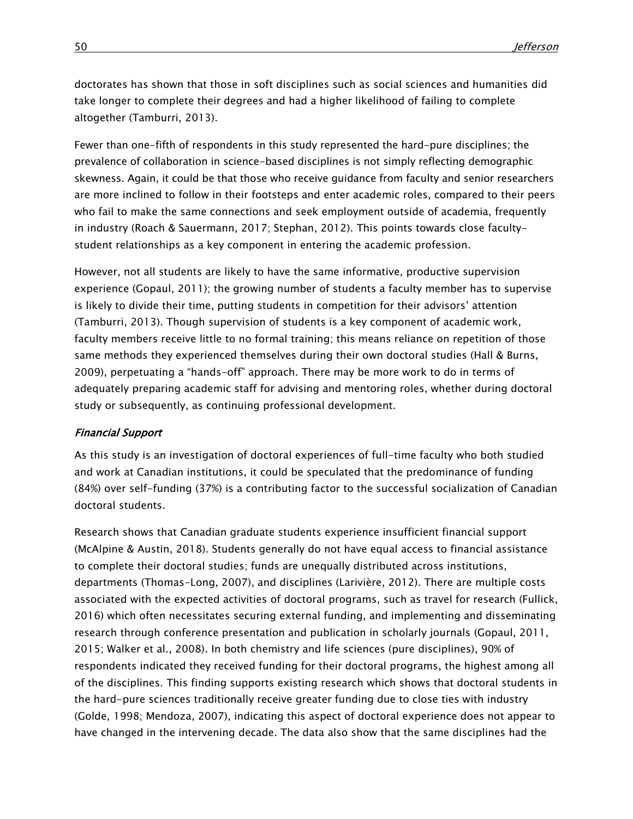doctorates has shown that those in soft disciplines such as social sciences and humanities did take longer to complete their degrees and had a higher likelihood of failing to complete altogether (Tamburri, 2013).

Fewer than one-fifth of respondents in this study represented the hard-pure disciplines; the prevalence of collaboration in science-based disciplines is not simply reflecting demographic skewness. Again, it could be that those who receive guidance from faculty and senior researchers are more inclined to follow in their footsteps and enter academic roles, compared to their peers who fail to make the same connections and seek employment outside of academia, frequently in industry (Roach & Sauermann, 2017; Stephan, 2012). This points towards close facultystudent relationships as a key component in entering the academic profession.

However, not all students are likely to have the same informative, productive supervision experience (Gopaul, 2011); the growing number of students a faculty member has to supervise is likely to divide their time, putting students in competition for their advisors' attention (Tamburri, 2013). Though supervision of students is a key component of academic work, faculty members receive little to no formal training; this means reliance on repetition of those same methods they experienced themselves during their own doctoral studies (Hall & Burns, 2009), perpetuating a "hands-off" approach. There may be more work to do in terms of adequately preparing academic staff for advising and mentoring roles, whether during doctoral study or subsequently, as continuing professional development.

#### Financial Support

As this study is an investigation of doctoral experiences of full-time faculty who both studied and work at Canadian institutions, it could be speculated that the predominance of funding (84%) over self-funding (37%) is a contributing factor to the successful socialization of Canadian doctoral students.

Research shows that Canadian graduate students experience insufficient financial support (McAlpine & Austin, 2018). Students generally do not have equal access to financial assistance to complete their doctoral studies; funds are unequally distributed across institutions, departments (Thomas-Long, 2007), and disciplines (Larivière, 2012). There are multiple costs associated with the expected activities of doctoral programs, such as travel for research (Fullick, 2016) which often necessitates securing external funding, and implementing and disseminating research through conference presentation and publication in scholarly journals (Gopaul, 2011, 2015; Walker et al., 2008). In both chemistry and life sciences (pure disciplines), 90% of respondents indicated they received funding for their doctoral programs, the highest among all of the disciplines. This finding supports existing research which shows that doctoral students in the hard-pure sciences traditionally receive greater funding due to close ties with industry (Golde, 1998; Mendoza, 2007), indicating this aspect of doctoral experience does not appear to have changed in the intervening decade. The data also show that the same disciplines had the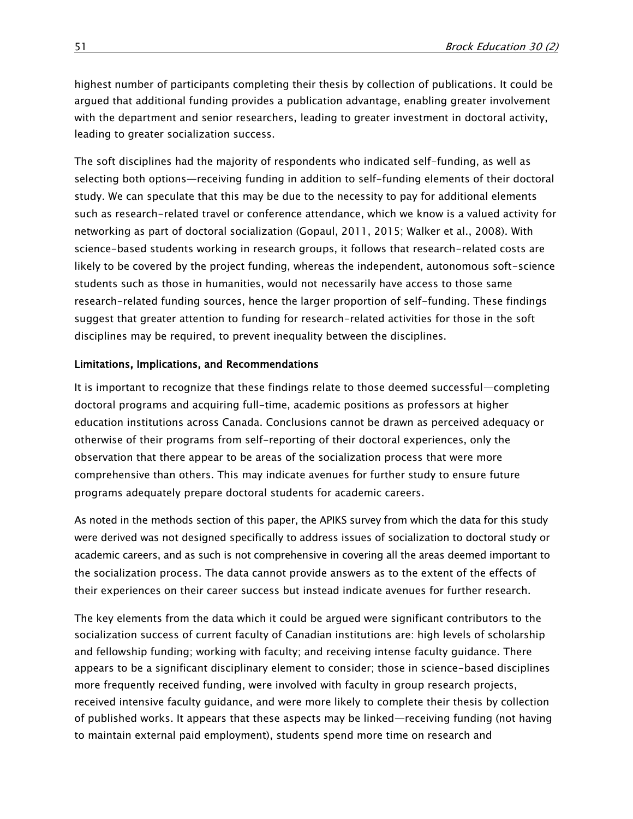highest number of participants completing their thesis by collection of publications. It could be argued that additional funding provides a publication advantage, enabling greater involvement with the department and senior researchers, leading to greater investment in doctoral activity, leading to greater socialization success.

The soft disciplines had the majority of respondents who indicated self-funding, as well as selecting both options—receiving funding in addition to self-funding elements of their doctoral study. We can speculate that this may be due to the necessity to pay for additional elements such as research-related travel or conference attendance, which we know is a valued activity for networking as part of doctoral socialization (Gopaul, 2011, 2015; Walker et al., 2008). With science-based students working in research groups, it follows that research-related costs are likely to be covered by the project funding, whereas the independent, autonomous soft-science students such as those in humanities, would not necessarily have access to those same research-related funding sources, hence the larger proportion of self-funding. These findings suggest that greater attention to funding for research-related activities for those in the soft disciplines may be required, to prevent inequality between the disciplines.

## Limitations, Implications, and Recommendations

It is important to recognize that these findings relate to those deemed successful—completing doctoral programs and acquiring full-time, academic positions as professors at higher education institutions across Canada. Conclusions cannot be drawn as perceived adequacy or otherwise of their programs from self-reporting of their doctoral experiences, only the observation that there appear to be areas of the socialization process that were more comprehensive than others. This may indicate avenues for further study to ensure future programs adequately prepare doctoral students for academic careers.

As noted in the methods section of this paper, the APIKS survey from which the data for this study were derived was not designed specifically to address issues of socialization to doctoral study or academic careers, and as such is not comprehensive in covering all the areas deemed important to the socialization process. The data cannot provide answers as to the extent of the effects of their experiences on their career success but instead indicate avenues for further research.

The key elements from the data which it could be argued were significant contributors to the socialization success of current faculty of Canadian institutions are: high levels of scholarship and fellowship funding; working with faculty; and receiving intense faculty guidance. There appears to be a significant disciplinary element to consider; those in science-based disciplines more frequently received funding, were involved with faculty in group research projects, received intensive faculty guidance, and were more likely to complete their thesis by collection of published works. It appears that these aspects may be linked—receiving funding (not having to maintain external paid employment), students spend more time on research and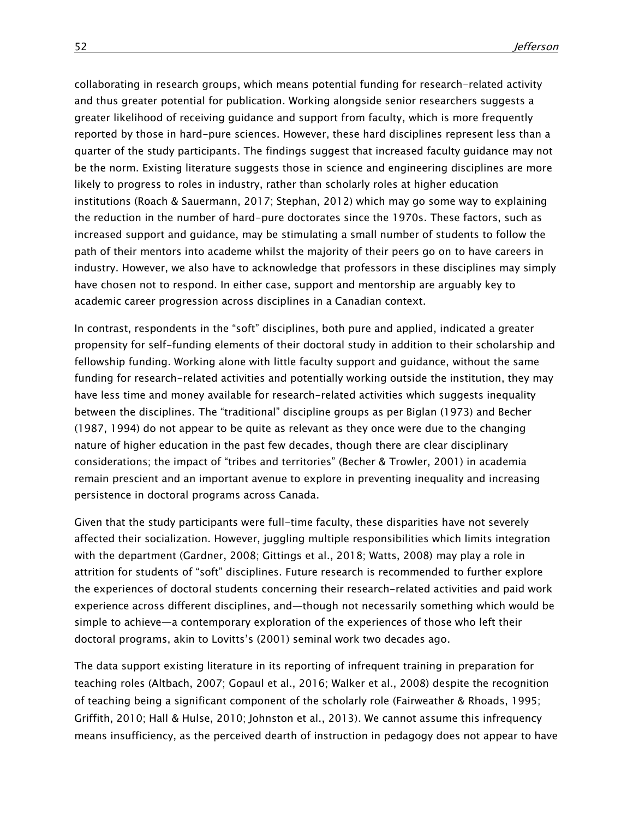collaborating in research groups, which means potential funding for research-related activity and thus greater potential for publication. Working alongside senior researchers suggests a greater likelihood of receiving guidance and support from faculty, which is more frequently reported by those in hard-pure sciences. However, these hard disciplines represent less than a quarter of the study participants. The findings suggest that increased faculty guidance may not be the norm. Existing literature suggests those in science and engineering disciplines are more likely to progress to roles in industry, rather than scholarly roles at higher education institutions (Roach & Sauermann, 2017; Stephan, 2012) which may go some way to explaining the reduction in the number of hard-pure doctorates since the 1970s. These factors, such as increased support and guidance, may be stimulating a small number of students to follow the path of their mentors into academe whilst the majority of their peers go on to have careers in industry. However, we also have to acknowledge that professors in these disciplines may simply have chosen not to respond. In either case, support and mentorship are arguably key to academic career progression across disciplines in a Canadian context.

In contrast, respondents in the "soft" disciplines, both pure and applied, indicated a greater propensity for self-funding elements of their doctoral study in addition to their scholarship and fellowship funding. Working alone with little faculty support and guidance, without the same funding for research-related activities and potentially working outside the institution, they may have less time and money available for research-related activities which suggests inequality between the disciplines. The "traditional" discipline groups as per Biglan (1973) and Becher (1987, 1994) do not appear to be quite as relevant as they once were due to the changing nature of higher education in the past few decades, though there are clear disciplinary considerations; the impact of "tribes and territories" (Becher & Trowler, 2001) in academia remain prescient and an important avenue to explore in preventing inequality and increasing persistence in doctoral programs across Canada.

Given that the study participants were full-time faculty, these disparities have not severely affected their socialization. However, juggling multiple responsibilities which limits integration with the department (Gardner, 2008; Gittings et al., 2018; Watts, 2008) may play a role in attrition for students of "soft" disciplines. Future research is recommended to further explore the experiences of doctoral students concerning their research-related activities and paid work experience across different disciplines, and—though not necessarily something which would be simple to achieve—a contemporary exploration of the experiences of those who left their doctoral programs, akin to Lovitts's (2001) seminal work two decades ago.

The data support existing literature in its reporting of infrequent training in preparation for teaching roles (Altbach, 2007; Gopaul et al., 2016; Walker et al., 2008) despite the recognition of teaching being a significant component of the scholarly role (Fairweather & Rhoads, 1995; Griffith, 2010; Hall & Hulse, 2010; Johnston et al., 2013). We cannot assume this infrequency means insufficiency, as the perceived dearth of instruction in pedagogy does not appear to have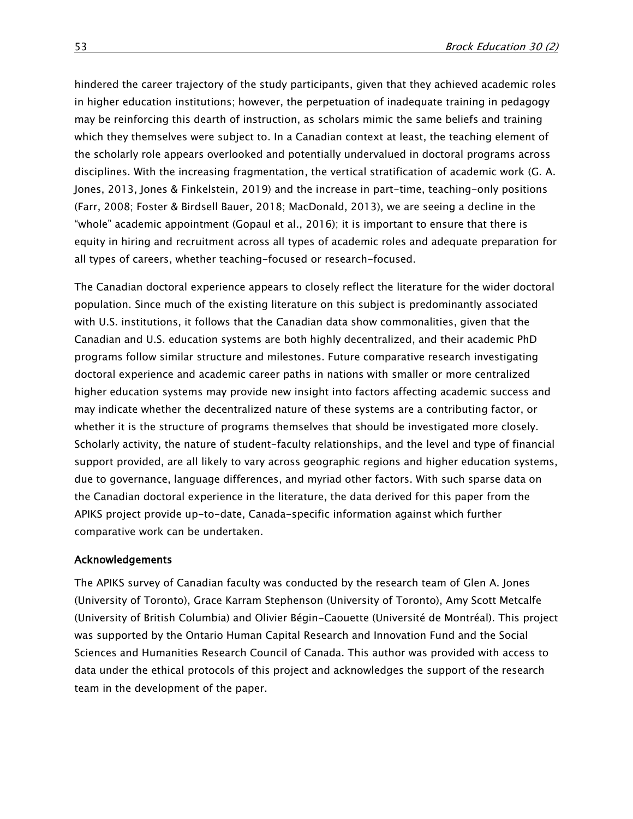hindered the career trajectory of the study participants, given that they achieved academic roles in higher education institutions; however, the perpetuation of inadequate training in pedagogy may be reinforcing this dearth of instruction, as scholars mimic the same beliefs and training which they themselves were subject to. In a Canadian context at least, the teaching element of the scholarly role appears overlooked and potentially undervalued in doctoral programs across disciplines. With the increasing fragmentation, the vertical stratification of academic work (G. A. Jones, 2013, Jones & Finkelstein, 2019) and the increase in part-time, teaching-only positions (Farr, 2008; Foster & Birdsell Bauer, 2018; MacDonald, 2013), we are seeing a decline in the "whole" academic appointment (Gopaul et al., 2016); it is important to ensure that there is equity in hiring and recruitment across all types of academic roles and adequate preparation for all types of careers, whether teaching-focused or research-focused.

The Canadian doctoral experience appears to closely reflect the literature for the wider doctoral population. Since much of the existing literature on this subject is predominantly associated with U.S. institutions, it follows that the Canadian data show commonalities, given that the Canadian and U.S. education systems are both highly decentralized, and their academic PhD programs follow similar structure and milestones. Future comparative research investigating doctoral experience and academic career paths in nations with smaller or more centralized higher education systems may provide new insight into factors affecting academic success and may indicate whether the decentralized nature of these systems are a contributing factor, or whether it is the structure of programs themselves that should be investigated more closely. Scholarly activity, the nature of student-faculty relationships, and the level and type of financial support provided, are all likely to vary across geographic regions and higher education systems, due to governance, language differences, and myriad other factors. With such sparse data on the Canadian doctoral experience in the literature, the data derived for this paper from the APIKS project provide up-to-date, Canada-specific information against which further comparative work can be undertaken.

#### Acknowledgements

The APIKS survey of Canadian faculty was conducted by the research team of Glen A. Jones (University of Toronto), Grace Karram Stephenson (University of Toronto), Amy Scott Metcalfe (University of British Columbia) and Olivier Bégin-Caouette (Université de Montréal). This project was supported by the Ontario Human Capital Research and Innovation Fund and the Social Sciences and Humanities Research Council of Canada. This author was provided with access to data under the ethical protocols of this project and acknowledges the support of the research team in the development of the paper.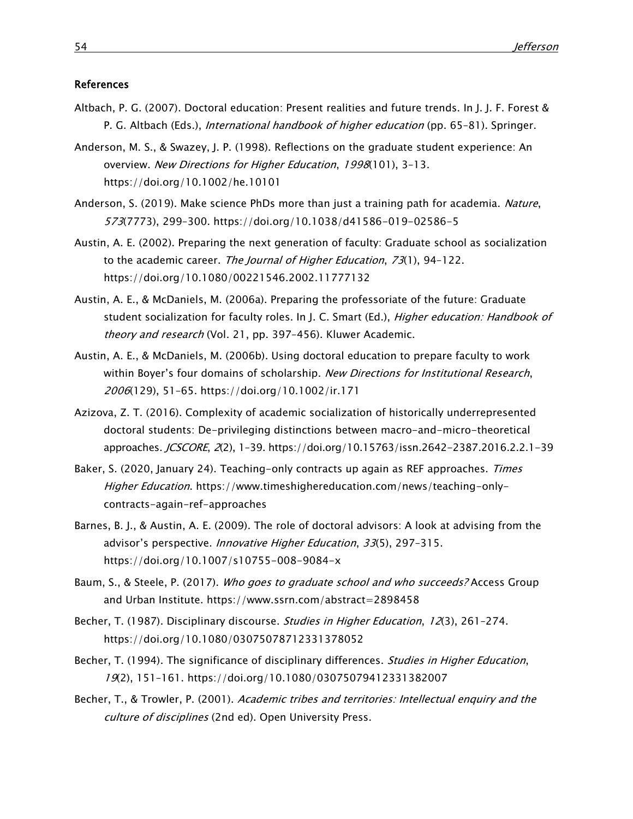#### References

- Altbach, P. G. (2007). Doctoral education: Present realities and future trends. In J. J. F. Forest & P. G. Altbach (Eds.), *International handbook of higher education* (pp. 65–81). Springer.
- Anderson, M. S., & Swazey, J. P. (1998). Reflections on the graduate student experience: An overview. New Directions for Higher Education, 1998(101), 3-13. <https://doi.org/10.1002/he.10101>
- Anderson, S. (2019). Make science PhDs more than just a training path for academia. Nature, 573(7773), 299–300.<https://doi.org/10.1038/d41586-019-02586-5>
- Austin, A. E. (2002). Preparing the next generation of faculty: Graduate school as socialization to the academic career. The Journal of Higher Education, 73(1), 94-122. <https://doi.org/10.1080/00221546.2002.11777132>
- Austin, A. E., & McDaniels, M. (2006a). Preparing the professoriate of the future: Graduate student socialization for faculty roles. In J. C. Smart (Ed.), *Higher education: Handbook of* theory and research (Vol. 21, pp. 397-456). Kluwer Academic.
- Austin, A. E., & McDaniels, M. (2006b). Using doctoral education to prepare faculty to work within Boyer's four domains of scholarship. New Directions for Institutional Research, 2006(129), 51–65.<https://doi.org/10.1002/ir.171>
- Azizova, Z. T. (2016). Complexity of academic socialization of historically underrepresented doctoral students: De-privileging distinctions between macro-and-micro-theoretical approaches. JCSCORE, 2(2), 1–39.<https://doi.org/10.15763/issn.2642-2387.2016.2.2.1-39>
- Baker, S. (2020, January 24). Teaching-only contracts up again as REF approaches. Times Higher Education. [https://www.timeshighereducation.com/news/teaching-only](https://www.timeshighereducation.com/news/teaching-only-contracts-again-ref-approaches)[contracts-again-ref-approaches](https://www.timeshighereducation.com/news/teaching-only-contracts-again-ref-approaches)
- Barnes, B. J., & Austin, A. E. (2009). The role of doctoral advisors: A look at advising from the advisor's perspective. Innovative Higher Education, 33(5), 297–315. <https://doi.org/10.1007/s10755-008-9084-x>
- Baum, S., & Steele, P. (2017). Who goes to graduate school and who succeeds? Access Group and Urban Institute.<https://www.ssrn.com/abstract=2898458>
- Becher, T. (1987). Disciplinary discourse. Studies in Higher Education, 12(3), 261-274. <https://doi.org/10.1080/03075078712331378052>
- Becher, T. (1994). The significance of disciplinary differences. Studies in Higher Education, 19(2), 151–161.<https://doi.org/10.1080/03075079412331382007>
- Becher, T., & Trowler, P. (2001). Academic tribes and territories: Intellectual enquiry and the culture of disciplines (2nd ed). Open University Press.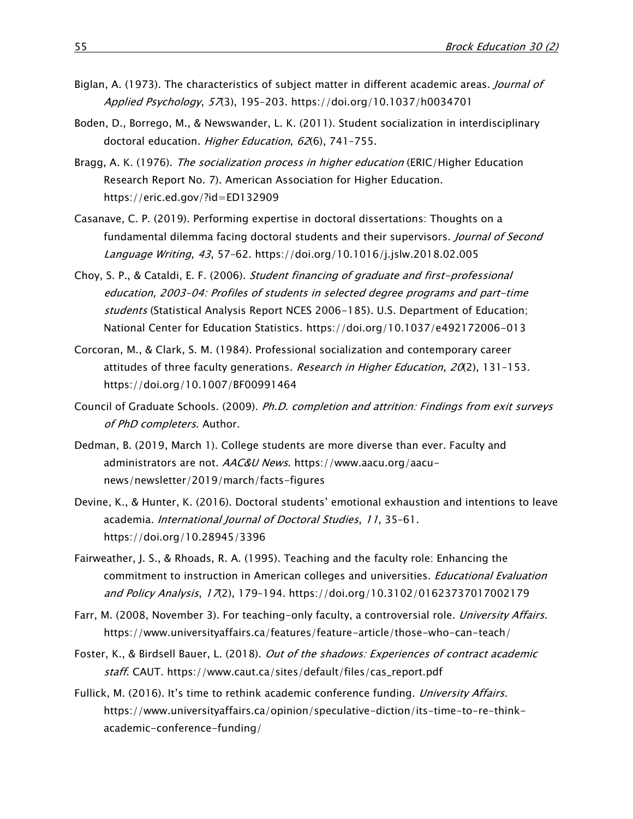- Biglan, A. (1973). The characteristics of subject matter in different academic areas. Journal of Applied Psychology, 57(3), 195–203.<https://doi.org/10.1037/h0034701>
- Boden, D., Borrego, M., & Newswander, L. K. (2011). Student socialization in interdisciplinary doctoral education. Higher Education, 62(6), 741-755.
- Bragg, A. K. (1976). The socialization process in higher education (ERIC/Higher Education Research Report No. 7). American Association for Higher Education. <https://eric.ed.gov/?id=ED132909>
- Casanave, C. P. (2019). Performing expertise in doctoral dissertations: Thoughts on a fundamental dilemma facing doctoral students and their supervisors. *Journal of Second* Language Writing, 43, 57–62.<https://doi.org/10.1016/j.jslw.2018.02.005>
- Choy, S. P., & Cataldi, E. F. (2006). Student financing of graduate and first-professional education, 2003–04: Profiles of students in selected degree programs and part-time students (Statistical Analysis Report NCES 2006-185). U.S. Department of Education; National Center for Education Statistics.<https://doi.org/10.1037/e492172006-013>
- Corcoran, M., & Clark, S. M. (1984). Professional socialization and contemporary career attitudes of three faculty generations. Research in Higher Education,  $20(2)$ , 131-153. <https://doi.org/10.1007/BF00991464>
- Council of Graduate Schools. (2009). Ph.D. completion and attrition: Findings from exit surveys of PhD completers. Author.
- Dedman, B. (2019, March 1). College students are more diverse than ever. Faculty and administrators are not. AAC&U News. [https://www.aacu.org/aacu](https://www.aacu.org/aacu-news/newsletter/2019/march/facts-figures)[news/newsletter/2019/march/facts-figures](https://www.aacu.org/aacu-news/newsletter/2019/march/facts-figures)
- Devine, K., & Hunter, K. (2016). Doctoral students' emotional exhaustion and intentions to leave academia. International Journal of Doctoral Studies, 11, 35–61. <https://doi.org/10.28945/3396>
- Fairweather, J. S., & Rhoads, R. A. (1995). Teaching and the faculty role: Enhancing the commitment to instruction in American colleges and universities. *Educational Evaluation* and Policy Analysis, 17(2), 179-194.<https://doi.org/10.3102/01623737017002179>
- Farr, M. (2008, November 3). For teaching-only faculty, a controversial role. University Affairs. <https://www.universityaffairs.ca/features/feature-article/those-who-can-teach/>
- Foster, K., & Birdsell Bauer, L. (2018). Out of the shadows: Experiences of contract academic staff. CAUT. [https://www.caut.ca/sites/default/files/cas\\_report.pdf](https://www.caut.ca/sites/default/files/cas_report.pdf)
- Fullick, M. (2016). It's time to rethink academic conference funding. University Affairs. [https://www.universityaffairs.ca/opinion/speculative-diction/its-time-to-re-think](https://www.universityaffairs.ca/opinion/speculative-diction/its-time-to-re-think-academic-conference-funding/)[academic-conference-funding/](https://www.universityaffairs.ca/opinion/speculative-diction/its-time-to-re-think-academic-conference-funding/)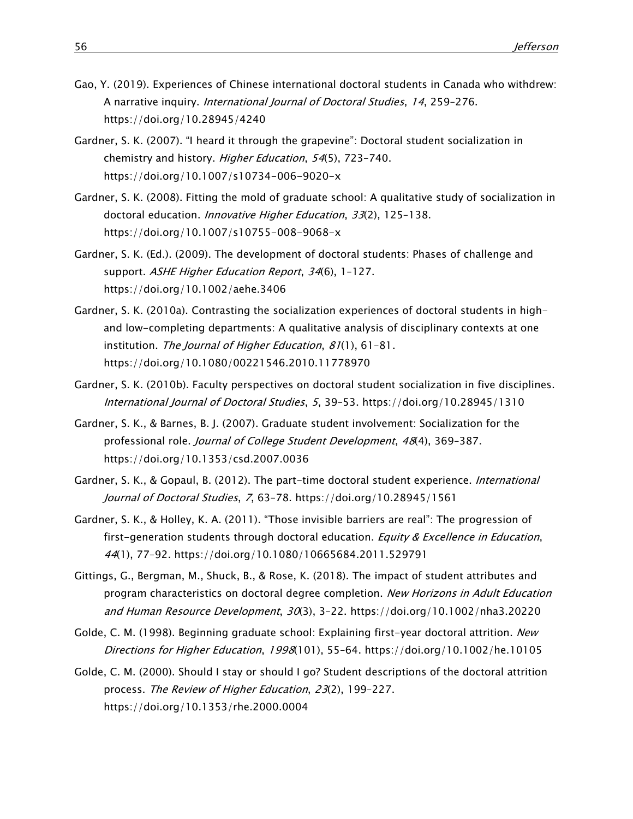- Gao, Y. (2019). Experiences of Chinese international doctoral students in Canada who withdrew: A narrative inquiry. International Journal of Doctoral Studies, 14, 259–276. <https://doi.org/10.28945/4240>
- Gardner, S. K. (2007). "I heard it through the grapevine": Doctoral student socialization in chemistry and history. Higher Education, 54(5), 723–740. <https://doi.org/10.1007/s10734-006-9020-x>
- Gardner, S. K. (2008). Fitting the mold of graduate school: A qualitative study of socialization in doctoral education. Innovative Higher Education, 33(2), 125-138. <https://doi.org/10.1007/s10755-008-9068-x>
- Gardner, S. K. (Ed.). (2009). The development of doctoral students: Phases of challenge and support. ASHE Higher Education Report, 34(6), 1-127. <https://doi.org/10.1002/aehe.3406>
- Gardner, S. K. (2010a). Contrasting the socialization experiences of doctoral students in highand low-completing departments: A qualitative analysis of disciplinary contexts at one institution. The Journal of Higher Education, 81(1), 61-81. <https://doi.org/10.1080/00221546.2010.11778970>
- Gardner, S. K. (2010b). Faculty perspectives on doctoral student socialization in five disciplines. International Journal of Doctoral Studies, 5, 39–53.<https://doi.org/10.28945/1310>
- Gardner, S. K., & Barnes, B. J. (2007). Graduate student involvement: Socialization for the professional role. Journal of College Student Development, 48(4), 369–387. <https://doi.org/10.1353/csd.2007.0036>
- Gardner, S. K., & Gopaul, B. (2012). The part-time doctoral student experience. *International* Journal of Doctoral Studies, 7, 63–78.<https://doi.org/10.28945/1561>
- Gardner, S. K., & Holley, K. A. (2011). "Those invisible barriers are real": The progression of first-generation students through doctoral education. *Equity & Excellence in Education*, 44(1), 77–92.<https://doi.org/10.1080/10665684.2011.529791>
- Gittings, G., Bergman, M., Shuck, B., & Rose, K. (2018). The impact of student attributes and program characteristics on doctoral degree completion. New Horizons in Adult Education and Human Resource Development, 30(3), 3–22.<https://doi.org/10.1002/nha3.20220>
- Golde, C. M. (1998). Beginning graduate school: Explaining first-year doctoral attrition. New Directions for Higher Education, 1998(101), 55–64.<https://doi.org/10.1002/he.10105>
- Golde, C. M. (2000). Should I stay or should I go? Student descriptions of the doctoral attrition process. The Review of Higher Education, 23(2), 199–227. <https://doi.org/10.1353/rhe.2000.0004>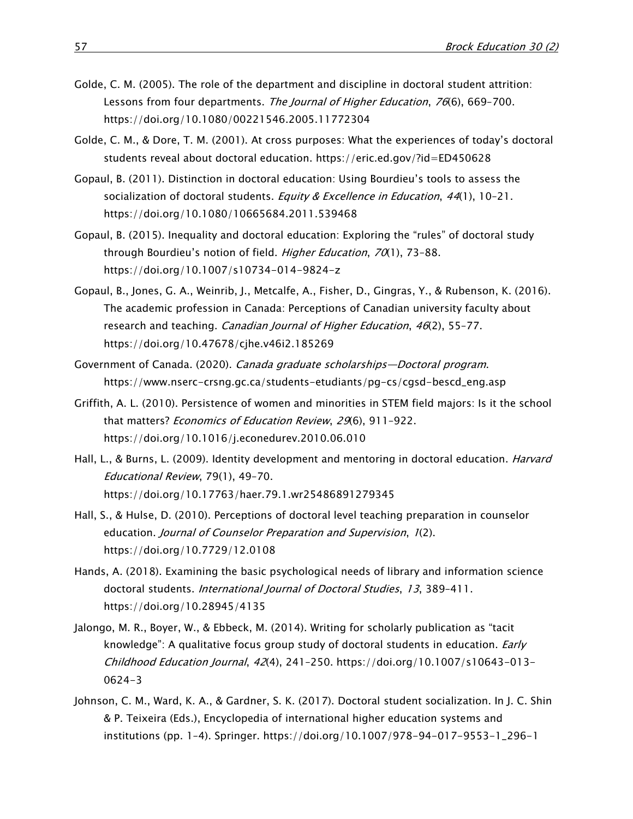- Golde, C. M. (2005). The role of the department and discipline in doctoral student attrition: Lessons from four departments. The Journal of Higher Education, 76(6), 669-700. <https://doi.org/10.1080/00221546.2005.11772304>
- Golde, C. M., & Dore, T. M. (2001). At cross purposes: What the experiences of today's doctoral students reveal about doctoral education.<https://eric.ed.gov/?id=ED450628>
- Gopaul, B. (2011). Distinction in doctoral education: Using Bourdieu's tools to assess the socialization of doctoral students. Equity & Excellence in Education, 44(1), 10-21. <https://doi.org/10.1080/10665684.2011.539468>
- Gopaul, B. (2015). Inequality and doctoral education: Exploring the "rules" of doctoral study through Bourdieu's notion of field. Higher Education, 70(1), 73-88. <https://doi.org/10.1007/s10734-014-9824-z>
- Gopaul, B., Jones, G. A., Weinrib, J., Metcalfe, A., Fisher, D., Gingras, Y., & Rubenson, K. (2016). The academic profession in Canada: Perceptions of Canadian university faculty about research and teaching. Canadian Journal of Higher Education, 46(2), 55–77. <https://doi.org/10.47678/cjhe.v46i2.185269>
- Government of Canada. (2020). Canada graduate scholarships—Doctoral program. [https://www.nserc-crsng.gc.ca/students-etudiants/pg-cs/cgsd-bescd\\_eng.asp](https://www.nserc-crsng.gc.ca/students-etudiants/pg-cs/cgsd-bescd_eng.asp)
- Griffith, A. L. (2010). Persistence of women and minorities in STEM field majors: Is it the school that matters? Economics of Education Review, 29(6), 911-922. <https://doi.org/10.1016/j.econedurev.2010.06.010>
- Hall, L., & Burns, L. (2009). Identity development and mentoring in doctoral education. *Harvard* Educational Review, 79(1), 49–70. <https://doi.org/10.17763/haer.79.1.wr25486891279345>
- Hall, S., & Hulse, D. (2010). Perceptions of doctoral level teaching preparation in counselor education. Journal of Counselor Preparation and Supervision, 1(2). <https://doi.org/10.7729/12.0108>
- Hands, A. (2018). Examining the basic psychological needs of library and information science doctoral students. International Journal of Doctoral Studies, 13, 389–411. <https://doi.org/10.28945/4135>
- Jalongo, M. R., Boyer, W., & Ebbeck, M. (2014). Writing for scholarly publication as "tacit knowledge": A qualitative focus group study of doctoral students in education. *Early*  $Childhood Education Journal, 42(4), 241-250. <a href="https://doi.org/10.1007/s10643-013-10.1007/s10643-013-10.1007/s10643-013-10.1007/s10643-013-10.1007/s10643-013-10.1007/s10643-013-10.1007/s10643-013-10.1007/s10643-013-10.1007/s10643-013-10.1007/s10643-013-10.1007/s10</math>$ [0624-3](https://doi.org/10.1007/s10643-013-0624-3)
- Johnson, C. M., Ward, K. A., & Gardner, S. K. (2017). Doctoral student socialization. In J. C. Shin & P. Teixeira (Eds.), Encyclopedia of international higher education systems and institutions (pp. 1–4). Springer. [https://doi.org/10.1007/978-94-017-9553-1\\_296-1](https://doi.org/10.1007/978-94-017-9553-1_296-1)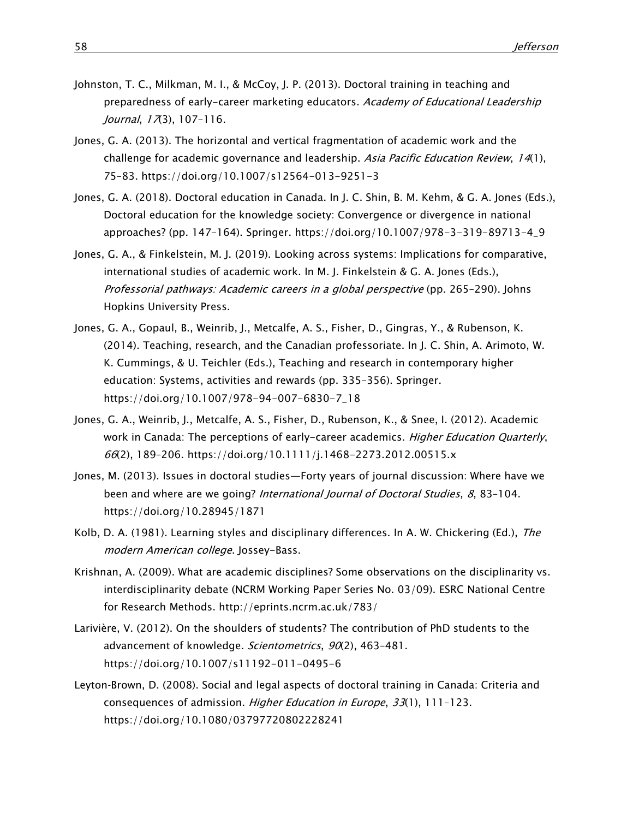- Johnston, T. C., Milkman, M. I., & McCoy, J. P. (2013). Doctoral training in teaching and preparedness of early-career marketing educators. Academy of Educational Leadership Journal,  $17(3)$ , 107-116.
- Jones, G. A. (2013). The horizontal and vertical fragmentation of academic work and the challenge for academic governance and leadership. Asia Pacific Education Review, 14(1), 75–83.<https://doi.org/10.1007/s12564-013-9251-3>
- Jones, G. A. (2018). Doctoral education in Canada. In J. C. Shin, B. M. Kehm, & G. A. Jones (Eds.), Doctoral education for the knowledge society: Convergence or divergence in national approaches? (pp. 147–164). Springer. [https://doi.org/10.1007/978-3-319-89713-4\\_9](https://doi.org/10.1007/978-3-319-89713-4_9)
- Jones, G. A., & Finkelstein, M. J. (2019). Looking across systems: Implications for comparative, international studies of academic work. In M. J. Finkelstein & G. A. Jones (Eds.), Professorial pathways: Academic careers in a global perspective (pp. 265–290). Johns Hopkins University Press.
- Jones, G. A., Gopaul, B., Weinrib, J., Metcalfe, A. S., Fisher, D., Gingras, Y., & Rubenson, K. (2014). Teaching, research, and the Canadian professoriate. In J. C. Shin, A. Arimoto, W. K. Cummings, & U. Teichler (Eds.), Teaching and research in contemporary higher education: Systems, activities and rewards (pp. 335–356). Springer. [https://doi.org/10.1007/978-94-007-6830-7\\_18](https://doi.org/10.1007/978-94-007-6830-7_18)
- Jones, G. A., Weinrib, J., Metcalfe, A. S., Fisher, D., Rubenson, K., & Snee, I. (2012). Academic work in Canada: The perceptions of early-career academics. Higher Education Quarterly, 66(2), 189–206.<https://doi.org/10.1111/j.1468-2273.2012.00515.x>
- Jones, M. (2013). Issues in doctoral studies—Forty years of journal discussion: Where have we been and where are we going? International Journal of Doctoral Studies, 8, 83-104. <https://doi.org/10.28945/1871>
- Kolb, D. A. (1981). Learning styles and disciplinary differences. In A. W. Chickering (Ed.), The modern American college. Jossey-Bass.
- Krishnan, A. (2009). What are academic disciplines? Some observations on the disciplinarity vs. interdisciplinarity debate (NCRM Working Paper Series No. 03/09). ESRC National Centre for Research Methods. <http://eprints.ncrm.ac.uk/783/>
- Larivière, V. (2012). On the shoulders of students? The contribution of PhD students to the advancement of knowledge. Scientometrics, 90(2), 463-481. <https://doi.org/10.1007/s11192-011-0495-6>
- Leyton‐Brown, D. (2008). Social and legal aspects of doctoral training in Canada: Criteria and consequences of admission. Higher Education in Europe,  $33(1)$ , 111-123. <https://doi.org/10.1080/03797720802228241>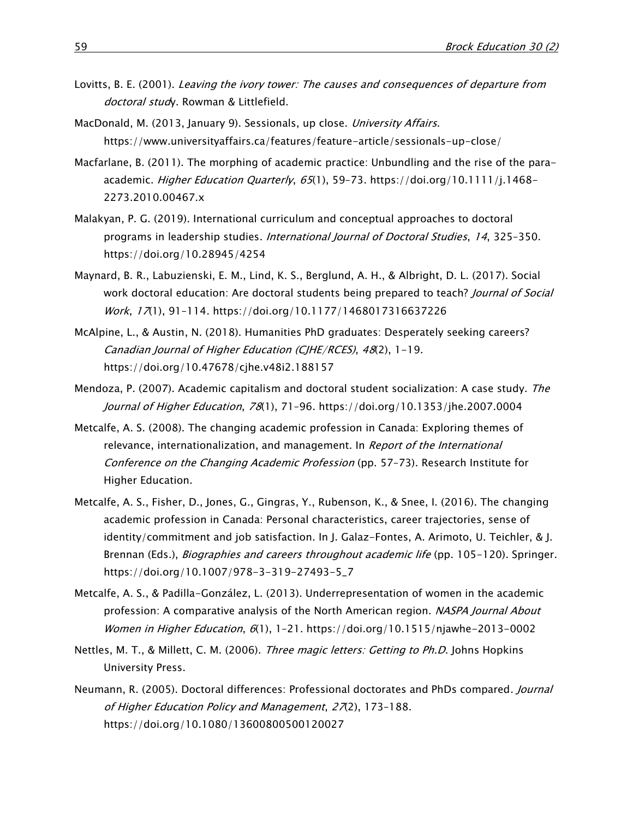- Lovitts, B. E. (2001). Leaving the ivory tower: The causes and consequences of departure from doctoral study. Rowman & Littlefield.
- MacDonald, M. (2013, January 9). Sessionals, up close. University Affairs. <https://www.universityaffairs.ca/features/feature-article/sessionals-up-close/>
- Macfarlane, B. (2011). The morphing of academic practice: Unbundling and the rise of the paraacademic. Higher Education Quarterly, 65(1), 59-73. [https://doi.org/10.1111/j.1468-](https://doi.org/10.1111/j.1468-2273.2010.00467.x) [2273.2010.00467.x](https://doi.org/10.1111/j.1468-2273.2010.00467.x)
- Malakyan, P. G. (2019). International curriculum and conceptual approaches to doctoral programs in leadership studies. *International Journal of Doctoral Studies*, 14, 325-350. <https://doi.org/10.28945/4254>
- Maynard, B. R., Labuzienski, E. M., Lind, K. S., Berglund, A. H., & Albright, D. L. (2017). Social work doctoral education: Are doctoral students being prepared to teach? Journal of Social Work, 17(1), 91–114.<https://doi.org/10.1177/1468017316637226>
- McAlpine, L., & Austin, N. (2018). Humanities PhD graduates: Desperately seeking careers? Canadian Journal of Higher Education (CJHE/RCES), 48(2), 1-19. <https://doi.org/10.47678/cjhe.v48i2.188157>
- Mendoza, P. (2007). Academic capitalism and doctoral student socialization: A case study. The Journal of Higher Education, 78(1), 71–96.<https://doi.org/10.1353/jhe.2007.0004>
- Metcalfe, A. S. (2008). The changing academic profession in Canada: Exploring themes of relevance, internationalization, and management. In Report of the International Conference on the Changing Academic Profession (pp. 57–73). Research Institute for Higher Education.
- Metcalfe, A. S., Fisher, D., Jones, G., Gingras, Y., Rubenson, K., & Snee, I. (2016). The changing academic profession in Canada: Personal characteristics, career trajectories, sense of identity/commitment and job satisfaction. In J. Galaz-Fontes, A. Arimoto, U. Teichler, & J. Brennan (Eds.), *Biographies and careers throughout academic life* (pp. 105-120). Springer. [https://doi.org/10.1007/978-3-319-27493-5\\_7](https://doi.org/10.1007/978-3-319-27493-5_7)
- Metcalfe, A. S., & Padilla-González, L. (2013). Underrepresentation of women in the academic profession: A comparative analysis of the North American region. NASPA Journal About Women in Higher Education, 6(1), 1-21.<https://doi.org/10.1515/njawhe-2013-0002>
- Nettles, M. T., & Millett, C. M. (2006). *Three magic letters: Getting to Ph.D.* Johns Hopkins University Press.
- Neumann, R. (2005). Doctoral differences: Professional doctorates and PhDs compared. Journal of Higher Education Policy and Management, 27(2), 173–188. <https://doi.org/10.1080/13600800500120027>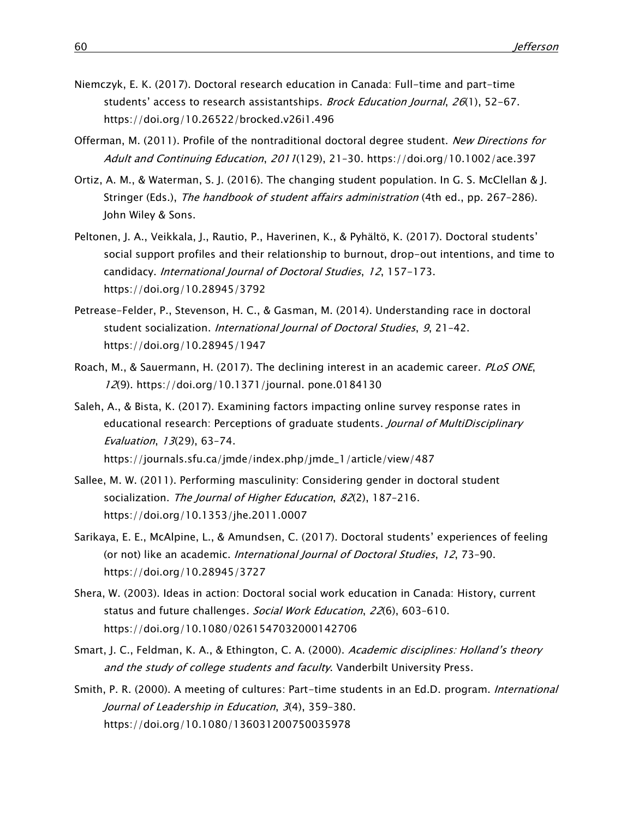- Niemczyk, E. K. (2017). Doctoral research education in Canada: Full-time and part-time students' access to research assistantships. Brock Education Journal, 26(1), 52-67. <https://doi.org/10.26522/brocked.v26i1.496>
- Offerman, M. (2011). Profile of the nontraditional doctoral degree student. New Directions for Adult and Continuing Education, 2011(129), 21–30.<https://doi.org/10.1002/ace.397>
- Ortiz, A. M., & Waterman, S. J. (2016). The changing student population. In G. S. McClellan & J. Stringer (Eds.), The handbook of student affairs administration (4th ed., pp. 267-286). John Wiley & Sons.
- Peltonen, J. A., Veikkala, J., Rautio, P., Haverinen, K., & Pyhältö, K. (2017). Doctoral students' social support profiles and their relationship to burnout, drop-out intentions, and time to candidacy. International Journal of Doctoral Studies, 12, 157-173. <https://doi.org/10.28945/3792>
- Petrease-Felder, P., Stevenson, H. C., & Gasman, M. (2014). Understanding race in doctoral student socialization. *International Journal of Doctoral Studies*, 9, 21-42. <https://doi.org/10.28945/1947>
- Roach, M., & Sauermann, H. (2017). The declining interest in an academic career. PLOS ONE, 12(9). [https://doi.org/10.1371/journal. pone.0184130](https://doi.org/10.1371/journal.%20pone.0184130)
- Saleh, A., & Bista, K. (2017). Examining factors impacting online survey response rates in educational research: Perceptions of graduate students. Journal of MultiDisciplinary Evaluation, 13(29), 63–74. [https://journals.sfu.ca/jmde/index.php/jmde\\_1/article/view/487](https://journals.sfu.ca/jmde/index.php/jmde_1/article/view/487)
- Sallee, M. W. (2011). Performing masculinity: Considering gender in doctoral student socialization. The Journal of Higher Education, 82(2), 187-216. <https://doi.org/10.1353/jhe.2011.0007>
- Sarikaya, E. E., McAlpine, L., & Amundsen, C. (2017). Doctoral students' experiences of feeling (or not) like an academic. *International Journal of Doctoral Studies*, 12, 73-90. <https://doi.org/10.28945/3727>
- Shera, W. (2003). Ideas in action: Doctoral social work education in Canada: History, current status and future challenges. Social Work Education, 22(6), 603–610. <https://doi.org/10.1080/0261547032000142706>
- Smart, J. C., Feldman, K. A., & Ethington, C. A. (2000). Academic disciplines: Holland's theory and the study of college students and faculty. Vanderbilt University Press.
- Smith, P. R. (2000). A meeting of cultures: Part-time students in an Ed.D. program. *International* Journal of Leadership in Education, 3(4), 359–380. <https://doi.org/10.1080/136031200750035978>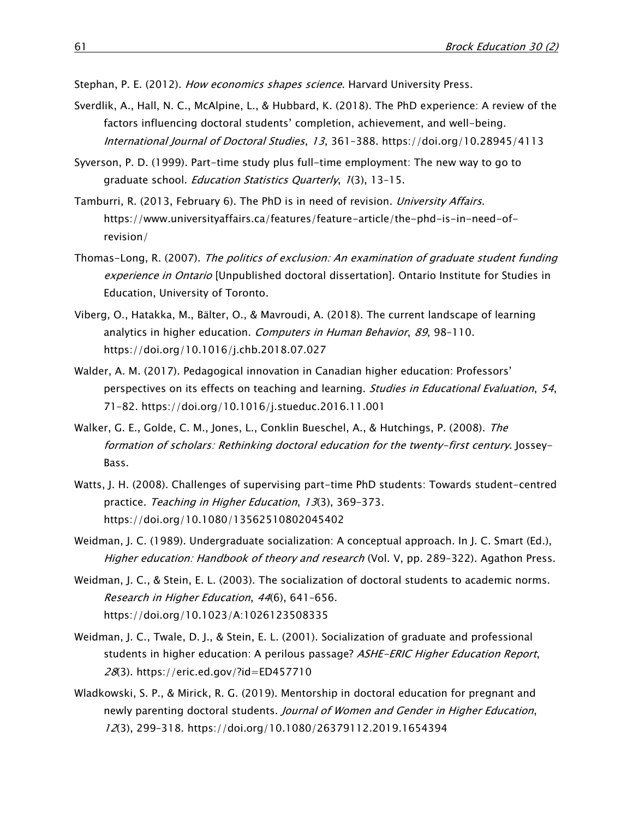Stephan, P. E. (2012). How economics shapes science. Harvard University Press.

- Sverdlik, A., Hall, N. C., McAlpine, L., & Hubbard, K. (2018). The PhD experience: A review of the factors influencing doctoral students' completion, achievement, and well-being. International Journal of Doctoral Studies, 13, 361–388.<https://doi.org/10.28945/4113>
- Syverson, P. D. (1999). Part-time study plus full-time employment: The new way to go to graduate school. Education Statistics Quarterly, 1(3), 13–15.
- Tamburri, R. (2013, February 6). The PhD is in need of revision. University Affairs. [https://www.universityaffairs.ca/features/feature-article/the-phd-is-in-need-of](https://www.universityaffairs.ca/features/feature-article/the-phd-is-in-need-of-revision/)[revision/](https://www.universityaffairs.ca/features/feature-article/the-phd-is-in-need-of-revision/)
- Thomas-Long, R. (2007). The politics of exclusion: An examination of graduate student funding experience in Ontario [Unpublished doctoral dissertation]. Ontario Institute for Studies in Education, University of Toronto.
- Viberg, O., Hatakka, M., Bälter, O., & Mavroudi, A. (2018). The current landscape of learning analytics in higher education. *Computers in Human Behavior*, 89, 98-110. <https://doi.org/10.1016/j.chb.2018.07.027>
- Walder, A. M. (2017). Pedagogical innovation in Canadian higher education: Professors' perspectives on its effects on teaching and learning. Studies in Educational Evaluation, 54, 71–82.<https://doi.org/10.1016/j.stueduc.2016.11.001>
- Walker, G. E., Golde, C. M., Jones, L., Conklin Bueschel, A., & Hutchings, P. (2008). The formation of scholars: Rethinking doctoral education for the twenty-first century. Jossey-Bass.
- Watts, J. H. (2008). Challenges of supervising part-time PhD students: Towards student-centred practice. Teaching in Higher Education, 13(3), 369–373. <https://doi.org/10.1080/13562510802045402>
- Weidman, J. C. (1989). Undergraduate socialization: A conceptual approach. In J. C. Smart (Ed.), Higher education: Handbook of theory and research (Vol. V, pp. 289-322). Agathon Press.
- Weidman, J. C., & Stein, E. L. (2003). The socialization of doctoral students to academic norms. Research in Higher Education, 44(6), 641–656. <https://doi.org/10.1023/A:1026123508335>
- Weidman, J. C., Twale, D. J., & Stein, E. L. (2001). Socialization of graduate and professional students in higher education: A perilous passage? ASHE-ERIC Higher Education Report, 28(3).<https://eric.ed.gov/?id=ED457710>
- Wladkowski, S. P., & Mirick, R. G. (2019). Mentorship in doctoral education for pregnant and newly parenting doctoral students. Journal of Women and Gender in Higher Education, 12(3), 299–318.<https://doi.org/10.1080/26379112.2019.1654394>